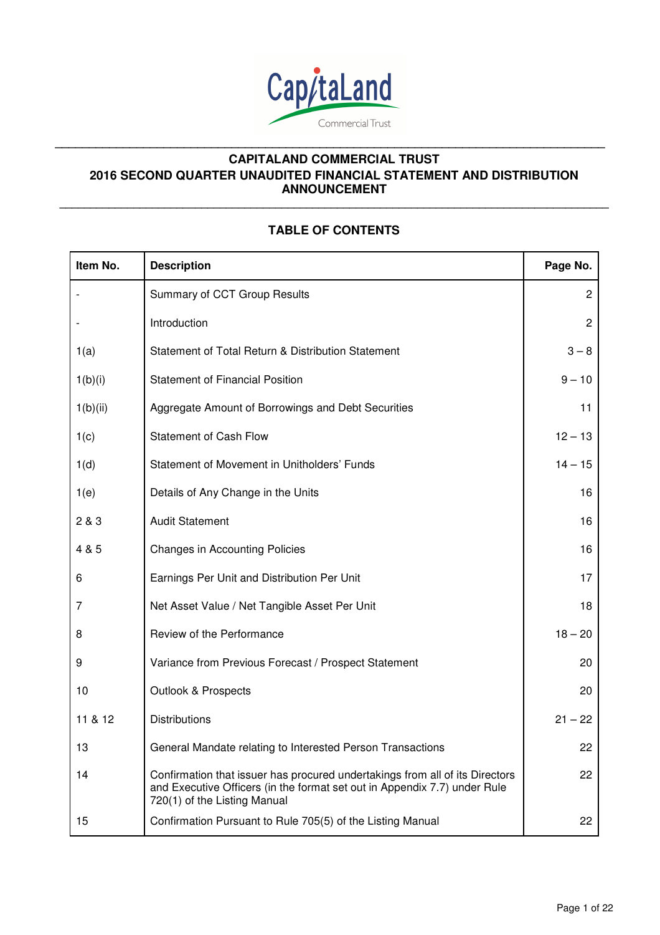

**\_\_\_\_\_\_\_\_\_\_\_\_\_\_\_\_\_\_\_\_\_\_\_\_\_\_\_\_\_\_\_\_\_\_\_\_\_\_\_\_\_\_\_\_\_\_\_\_\_\_\_\_\_\_\_\_\_\_\_\_\_\_\_\_\_\_\_\_\_\_\_\_\_\_\_\_\_\_\_\_\_** 

# **TABLE OF CONTENTS**

**\_\_\_\_\_\_\_\_\_\_\_\_\_\_\_\_\_\_\_\_\_\_\_\_\_\_\_\_\_\_\_\_\_\_\_\_\_\_\_\_\_\_\_\_\_\_\_\_\_\_\_\_\_\_\_\_\_\_\_\_\_\_\_\_\_\_\_\_\_\_\_\_\_\_\_\_\_\_\_\_\_\_\_\_\_\_\_\_\_**

| Item No. | <b>Description</b>                                                                                                                                                                        | Page No.       |
|----------|-------------------------------------------------------------------------------------------------------------------------------------------------------------------------------------------|----------------|
|          | Summary of CCT Group Results                                                                                                                                                              | $\overline{c}$ |
|          | Introduction                                                                                                                                                                              | $\overline{2}$ |
| 1(a)     | Statement of Total Return & Distribution Statement                                                                                                                                        | $3 - 8$        |
| 1(b)(i)  | <b>Statement of Financial Position</b>                                                                                                                                                    | $9 - 10$       |
| 1(b)(ii) | Aggregate Amount of Borrowings and Debt Securities                                                                                                                                        | 11             |
| 1(c)     | <b>Statement of Cash Flow</b>                                                                                                                                                             | $12 - 13$      |
| 1(d)     | Statement of Movement in Unitholders' Funds                                                                                                                                               | $14 - 15$      |
| 1(e)     | Details of Any Change in the Units                                                                                                                                                        | 16             |
| 2 & 3    | <b>Audit Statement</b>                                                                                                                                                                    | 16             |
| 4 & 5    | <b>Changes in Accounting Policies</b>                                                                                                                                                     | 16             |
| 6        | Earnings Per Unit and Distribution Per Unit                                                                                                                                               | 17             |
| 7        | Net Asset Value / Net Tangible Asset Per Unit                                                                                                                                             | 18             |
| 8        | Review of the Performance                                                                                                                                                                 | $18 - 20$      |
| 9        | Variance from Previous Forecast / Prospect Statement                                                                                                                                      | 20             |
| 10       | <b>Outlook &amp; Prospects</b>                                                                                                                                                            | 20             |
| 11 & 12  | <b>Distributions</b>                                                                                                                                                                      | $21 - 22$      |
| 13       | General Mandate relating to Interested Person Transactions                                                                                                                                | 22             |
| 14       | Confirmation that issuer has procured undertakings from all of its Directors<br>and Executive Officers (in the format set out in Appendix 7.7) under Rule<br>720(1) of the Listing Manual | 22             |
| 15       | Confirmation Pursuant to Rule 705(5) of the Listing Manual                                                                                                                                | 22             |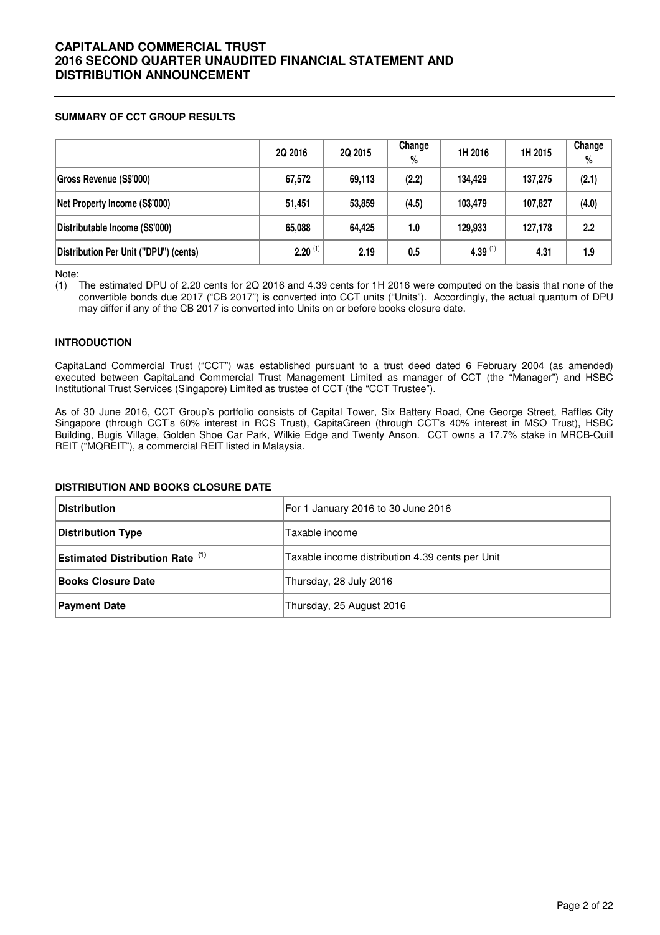## **SUMMARY OF CCT GROUP RESULTS**

|                                       | 2Q 2016      | 2Q 2015 | Change<br>% | 1H 2016    | 1H 2015 | Change<br>$\%$ |
|---------------------------------------|--------------|---------|-------------|------------|---------|----------------|
| Gross Revenue (S\$'000)               | 67,572       | 69,113  | (2.2)       | 134.429    | 137.275 | (2.1)          |
| Net Property Income (S\$'000)         | 51,451       | 53,859  | (4.5)       | 103.479    | 107.827 | (4.0)          |
| Distributable Income (S\$'000)        | 65,088       | 64,425  | 1.0         | 129,933    | 127,178 | 2.2            |
| Distribution Per Unit ("DPU") (cents) | $2.20^{(1)}$ | 2.19    | 0.5         | 4.39 $(1)$ | 4.31    | 1.9            |

Note:

(1) The estimated DPU of 2.20 cents for 2Q 2016 and 4.39 cents for 1H 2016 were computed on the basis that none of the convertible bonds due 2017 ("CB 2017") is converted into CCT units ("Units"). Accordingly, the actual quantum of DPU may differ if any of the CB 2017 is converted into Units on or before books closure date.

## **INTRODUCTION**

CapitaLand Commercial Trust ("CCT") was established pursuant to a trust deed dated 6 February 2004 (as amended) executed between CapitaLand Commercial Trust Management Limited as manager of CCT (the "Manager") and HSBC Institutional Trust Services (Singapore) Limited as trustee of CCT (the "CCT Trustee").

As of 30 June 2016, CCT Group's portfolio consists of Capital Tower, Six Battery Road, One George Street, Raffles City Singapore (through CCT's 60% interest in RCS Trust), CapitaGreen (through CCT's 40% interest in MSO Trust), HSBC Building, Bugis Village, Golden Shoe Car Park, Wilkie Edge and Twenty Anson. CCT owns a 17.7% stake in MRCB-Quill REIT ("MQREIT"), a commercial REIT listed in Malaysia.

## **DISTRIBUTION AND BOOKS CLOSURE DATE**

| <b>Distribution</b>                    | For 1 January 2016 to 30 June 2016              |
|----------------------------------------|-------------------------------------------------|
| Distribution Type                      | Taxable income                                  |
| <b>Estimated Distribution Rate</b> (1) | Taxable income distribution 4.39 cents per Unit |
| <b>Books Closure Date</b>              | Thursday, 28 July 2016                          |
| <b>Payment Date</b>                    | Thursday, 25 August 2016                        |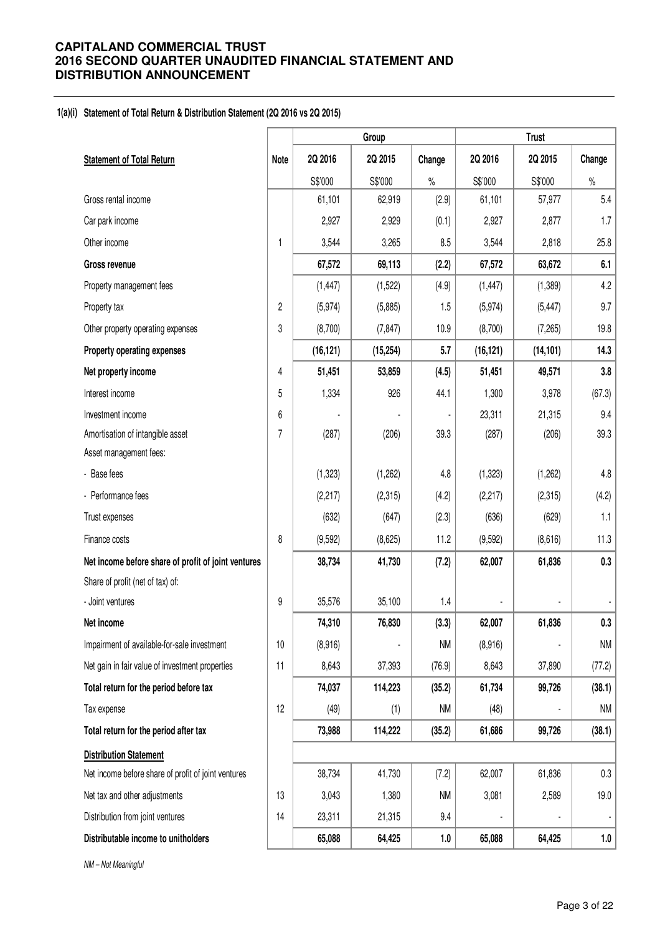## **1(a)(i) Statement of Total Return & Distribution Statement (2Q 2016 vs 2Q 2015)**

|                                                     |                |           | Group     | <b>Trust</b> |           |           |         |
|-----------------------------------------------------|----------------|-----------|-----------|--------------|-----------|-----------|---------|
| <b>Statement of Total Return</b>                    | Note           | 2Q 2016   | 2Q 2015   | Change       | 2Q 2016   | 2Q 2015   | Change  |
|                                                     |                | S\$'000   | S\$'000   | $\%$         | S\$'000   | S\$'000   | $\%$    |
| Gross rental income                                 |                | 61,101    | 62,919    | (2.9)        | 61,101    | 57,977    | 5.4     |
| Car park income                                     |                | 2,927     | 2,929     | (0.1)        | 2,927     | 2,877     | 1.7     |
| Other income                                        | $\mathbf{1}$   | 3,544     | 3,265     | 8.5          | 3,544     | 2,818     | 25.8    |
| <b>Gross revenue</b>                                |                | 67,572    | 69,113    | (2.2)        | 67,572    | 63,672    | 6.1     |
| Property management fees                            |                | (1, 447)  | (1,522)   | (4.9)        | (1, 447)  | (1, 389)  | 4.2     |
| Property tax                                        | $\overline{2}$ | (5, 974)  | (5,885)   | 1.5          | (5, 974)  | (5, 447)  | 9.7     |
| Other property operating expenses                   | 3              | (8,700)   | (7, 847)  | 10.9         | (8,700)   | (7,265)   | 19.8    |
| Property operating expenses                         |                | (16, 121) | (15, 254) | 5.7          | (16, 121) | (14, 101) | 14.3    |
| Net property income                                 | 4              | 51,451    | 53,859    | (4.5)        | 51,451    | 49,571    | 3.8     |
| Interest income                                     | 5              | 1,334     | 926       | 44.1         | 1,300     | 3,978     | (67.3)  |
| Investment income                                   | 6              |           |           |              | 23,311    | 21,315    | 9.4     |
| Amortisation of intangible asset                    | 7              | (287)     | (206)     | 39.3         | (287)     | (206)     | 39.3    |
| Asset management fees:                              |                |           |           |              |           |           |         |
| - Base fees                                         |                | (1, 323)  | (1, 262)  | 4.8          | (1, 323)  | (1,262)   | $4.8\,$ |
| - Performance fees                                  |                | (2, 217)  | (2,315)   | (4.2)        | (2, 217)  | (2,315)   | (4.2)   |
| Trust expenses                                      |                | (632)     | (647)     | (2.3)        | (636)     | (629)     | 1.1     |
| Finance costs                                       | 8              | (9,592)   | (8,625)   | 11.2         | (9,592)   | (8,616)   | 11.3    |
| Net income before share of profit of joint ventures |                | 38,734    | 41,730    | (7.2)        | 62,007    | 61,836    | 0.3     |
| Share of profit (net of tax) of:                    |                |           |           |              |           |           |         |
| - Joint ventures                                    | 9              | 35,576    | 35,100    | 1.4          |           |           |         |
| Net income                                          |                | 74,310    | 76,830    | (3.3)        | 62,007    | 61,836    | 0.3     |
| Impairment of available-for-sale investment         | 10             | (8,916)   |           | <b>NM</b>    | (8,916)   |           | NM      |
| Net gain in fair value of investment properties     | 11             | 8,643     | 37,393    | (76.9)       | 8,643     | 37,890    | (77.2)  |
| Total return for the period before tax              |                | 74,037    | 114,223   | (35.2)       | 61,734    | 99,726    | (38.1)  |
| Tax expense                                         | 12             | (49)      | (1)       | NM           | (48)      |           | ΝM      |
| Total return for the period after tax               |                | 73,988    | 114,222   | (35.2)       | 61,686    | 99,726    | (38.1)  |
| <b>Distribution Statement</b>                       |                |           |           |              |           |           |         |
| Net income before share of profit of joint ventures |                | 38,734    | 41,730    | (7.2)        | 62,007    | 61,836    | $0.3\,$ |
| Net tax and other adjustments                       | 13             | 3,043     | 1,380     | NM           | 3,081     | 2,589     | 19.0    |
| Distribution from joint ventures                    | 14             | 23,311    | 21,315    | 9.4          |           |           |         |
| Distributable income to unitholders                 |                | 65,088    | 64,425    | 1.0          | 65,088    | 64,425    | 1.0     |

NM – Not Meaningful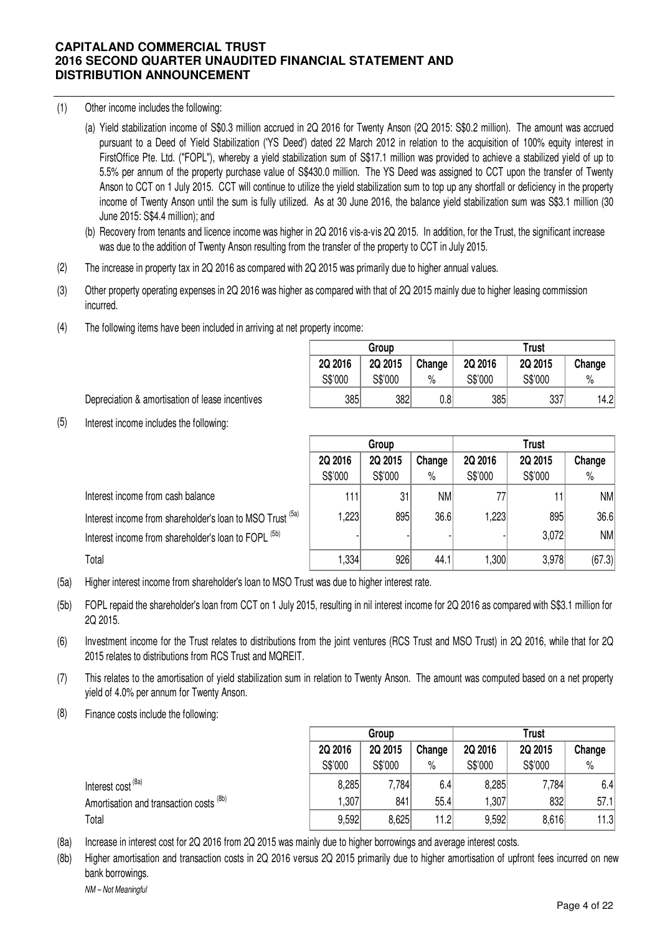- (1) Other income includes the following:
	- (a) Yield stabilization income of S\$0.3 million accrued in 2Q 2016 for Twenty Anson (2Q 2015: S\$0.2 million). The amount was accrued pursuant to a Deed of Yield Stabilization ('YS Deed') dated 22 March 2012 in relation to the acquisition of 100% equity interest in FirstOffice Pte. Ltd. ("FOPL"), whereby a yield stabilization sum of S\$17.1 million was provided to achieve a stabilized yield of up to 5.5% per annum of the property purchase value of S\$430.0 million. The YS Deed was assigned to CCT upon the transfer of Twenty Anson to CCT on 1 July 2015. CCT will continue to utilize the yield stabilization sum to top up any shortfall or deficiency in the property income of Twenty Anson until the sum is fully utilized. As at 30 June 2016, the balance yield stabilization sum was S\$3.1 million (30 June 2015: S\$4.4 million); and
	- (b) Recovery from tenants and licence income was higher in 2Q 2016 vis-a-vis 2Q 2015. In addition, for the Trust, the significant increase was due to the addition of Twenty Anson resulting from the transfer of the property to CCT in July 2015.
- (2) The increase in property tax in 2Q 2016 as compared with 2Q 2015 was primarily due to higher annual values.
- (3) Other property operating expenses in 2Q 2016 was higher as compared with that of 2Q 2015 mainly due to higher leasing commission incurred.
- (4) The following items have been included in arriving at net property income:

|         | Group   |        | <b>Trust</b> |         |        |  |  |
|---------|---------|--------|--------------|---------|--------|--|--|
| 2Q 2016 | 2Q 2015 | Change | 2Q 2016      | 2Q 2015 | Change |  |  |
| S\$'000 | S\$'000 | $\%$   | S\$'000      | S\$'000 | $\%$   |  |  |
| 385     | 382     | 0.81   | 385          | 337     | 14.21  |  |  |

Depreciation & amortisation of lease incentives

(5) Interest income includes the following:

|                                                           |         | Group   |        | <b>Trust</b>      |         |        |  |
|-----------------------------------------------------------|---------|---------|--------|-------------------|---------|--------|--|
|                                                           | 2Q 2016 | 2Q 2015 | Change | 2Q 2016           | 2Q 2015 | Change |  |
|                                                           | S\$'000 | S\$'000 | $\%$   | S\$'000           | S\$'000 | $\%$   |  |
| Interest income from cash balance                         | 111     | 31      | NM     |                   |         | NM     |  |
| Interest income from shareholder's loan to MSO Trust (5a) | 1,223   | 895     | 36.6   | 1,223             | 895     | 36.6   |  |
| Interest income from shareholder's loan to FOPL (5b)      |         |         |        |                   | 3,072   | NM     |  |
| Total                                                     | 1,334   | 926     | 44.1   | .300 <sub>l</sub> | 3,978   | (67.3) |  |

- (5a) Higher interest income from shareholder's loan to MSO Trust was due to higher interest rate.
- (5b) FOPL repaid the shareholder's loan from CCT on 1 July 2015, resulting in nil interest income for 2Q 2016 as compared with S\$3.1 million for 2Q 2015.
- (6) Investment income for the Trust relates to distributions from the joint ventures (RCS Trust and MSO Trust) in 2Q 2016, while that for 2Q 2015 relates to distributions from RCS Trust and MQREIT.
- (7) This relates to the amortisation of yield stabilization sum in relation to Twenty Anson. The amount was computed based on a net property yield of 4.0% per annum for Twenty Anson.
- (8) Finance costs include the following:

|                                                    | Group   |         |        | <b>Trust</b> |         |        |  |
|----------------------------------------------------|---------|---------|--------|--------------|---------|--------|--|
|                                                    | 2Q 2016 | 2Q 2015 | Change | 2Q 2016      | 2Q 2015 | Change |  |
|                                                    | S\$'000 | S\$'000 | $\%$   | S\$'000      | S\$'000 | $\%$   |  |
| Interest cost <sup>(8a)</sup>                      | 8,285   | 7,784   | 6.4    | 8,285        | 7,784   | 6.4    |  |
| Amortisation and transaction costs <sup>(8b)</sup> | 1,307   | 841     | 55.4   | .307         | 832     | 57.1   |  |
| Total                                              | 9,592   | 8,625   | 11.2   | 9,592        | 8,616   | 11.3   |  |

- (8a) Increase in interest cost for 2Q 2016 from 2Q 2015 was mainly due to higher borrowings and average interest costs.
- (8b) NM – Not Meaningful Higher amortisation and transaction costs in 2Q 2016 versus 2Q 2015 primarily due to higher amortisation of upfront fees incurred on new bank borrowings.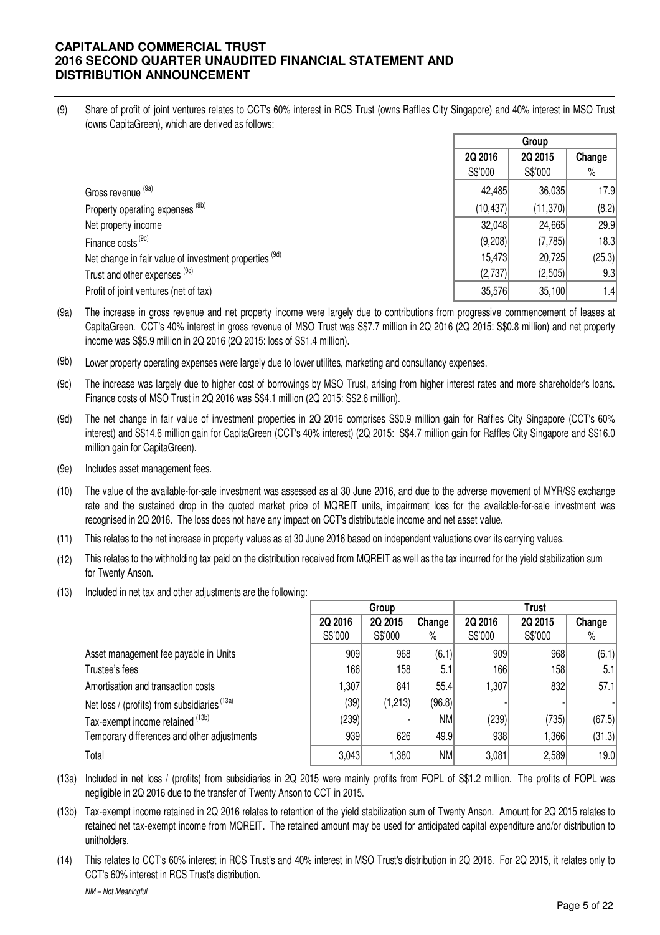(9) Share of profit of joint ventures relates to CCT's 60% interest in RCS Trust (owns Raffles City Singapore) and 40% interest in MSO Trust (owns CapitaGreen), which are derived as follows:

|                                                        | Group     |          |        |
|--------------------------------------------------------|-----------|----------|--------|
|                                                        | 2Q 2016   | 2Q 2015  | Change |
|                                                        | S\$'000   | S\$'000  | $\%$   |
| Gross revenue (9a)                                     | 42,485    | 36,035   | 17.9   |
| Property operating expenses <sup>(9b)</sup>            | (10, 437) | (11,370) | (8.2)  |
| Net property income                                    | 32,048    | 24,665   | 29.9   |
| Finance costs <sup>(9c)</sup>                          | (9,208)   | (7,785)  | 18.3   |
| Net change in fair value of investment properties (9d) | 15,473    | 20,725   | (25.3) |
| Trust and other expenses (9e)                          | (2,737)   | (2,505)  | 9.3    |
| Profit of joint ventures (net of tax)                  | 35,576    | 35,100   | 1.4    |

- (9a) The increase in gross revenue and net property income were largely due to contributions from progressive commencement of leases at CapitaGreen. CCT's 40% interest in gross revenue of MSO Trust was S\$7.7 million in 2Q 2016 (2Q 2015: S\$0.8 million) and net property income was S\$5.9 million in 2Q 2016 (2Q 2015: loss of S\$1.4 million).
- (9b) Lower property operating expenses were largely due to lower utilites, marketing and consultancy expenses.
- (9c) The increase was largely due to higher cost of borrowings by MSO Trust, arising from higher interest rates and more shareholder's loans. Finance costs of MSO Trust in 2Q 2016 was S\$4.1 million (2Q 2015: S\$2.6 million).
- (9d) The net change in fair value of investment properties in 2Q 2016 comprises S\$0.9 million gain for Raffles City Singapore (CCT's 60% interest) and S\$14.6 million gain for CapitaGreen (CCT's 40% interest) (2Q 2015: S\$4.7 million gain for Raffles City Singapore and S\$16.0 million gain for CapitaGreen).
- (9e) Includes asset management fees.
- (10) The value of the available-for-sale investment was assessed as at 30 June 2016, and due to the adverse movement of MYR/S\$ exchange rate and the sustained drop in the quoted market price of MQREIT units, impairment loss for the available-for-sale investment was recognised in 2Q 2016. The loss does not have any impact on CCT's distributable income and net asset value.
- (11) This relates to the net increase in property values as at 30 June 2016 based on independent valuations over its carrying values.
- (12) This relates to the withholding tax paid on the distribution received from MQREIT as well as the tax incurred for the yield stabilization sum for Twenty Anson.
- (13) Included in net tax and other adjustments are the following:

|                                              | Group   |         |           | Trust   |         |        |
|----------------------------------------------|---------|---------|-----------|---------|---------|--------|
|                                              | 2Q 2016 | 2Q 2015 | Change    | 2Q 2016 | 2Q 2015 | Change |
|                                              | S\$'000 | S\$'000 | %         | S\$'000 | S\$'000 | %      |
| Asset management fee payable in Units        | 909     | 968     | (6.1)     | 909     | 968     | (6.1)  |
| Trustee's fees                               | 166     | 158     | 5.1       | 166     | 158     | 5.1    |
| Amortisation and transaction costs           | 1,307   | 841     | 55.4      | 1,307   | 832     | 57.1   |
| Net loss / (profits) from subsidiaries (13a) | (39)    | (1,213) | (96.8)    |         |         |        |
| Tax-exempt income retained (13b)             | (239)   |         | <b>NM</b> | (239)   | (735)   | (67.5) |
| Temporary differences and other adjustments  | 939     | 626     | 49.9      | 938     | 1,366   | (31.3) |
| Total                                        | 3,043   | 1,380   | NM        | 3,081   | 2,589   | 19.0   |

- (13a) Included in net loss / (profits) from subsidiaries in 2Q 2015 were mainly profits from FOPL of S\$1.2 million. The profits of FOPL was negligible in 2Q 2016 due to the transfer of Twenty Anson to CCT in 2015.
- (13b) Tax-exempt income retained in 2Q 2016 relates to retention of the yield stabilization sum of Twenty Anson. Amount for 2Q 2015 relates to retained net tax-exempt income from MQREIT. The retained amount may be used for anticipated capital expenditure and/or distribution to unitholders.
- (14) This relates to CCT's 60% interest in RCS Trust's and 40% interest in MSO Trust's distribution in 2Q 2016. For 2Q 2015, it relates only to CCT's 60% interest in RCS Trust's distribution.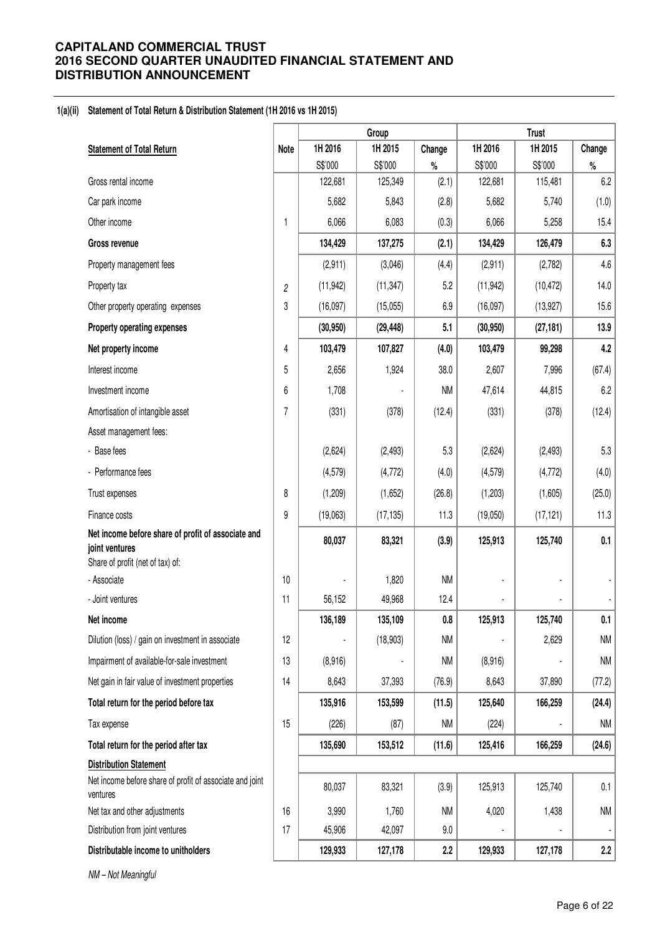## **1(a)(ii) Statement of Total Return & Distribution Statement (1H 2016 vs 1H 2015)**

|                                                                                                          |                | Group     |           |           | <b>Trust</b> |           |           |  |
|----------------------------------------------------------------------------------------------------------|----------------|-----------|-----------|-----------|--------------|-----------|-----------|--|
| <b>Statement of Total Return</b>                                                                         | Note           | 1H 2016   | 1H 2015   | Change    | 1H 2016      | 1H 2015   | Change    |  |
|                                                                                                          |                | S\$'000   | S\$'000   | $\%$      | S\$'000      | S\$'000   | $\%$      |  |
| Gross rental income                                                                                      |                | 122,681   | 125,349   | (2.1)     | 122,681      | 115,481   | 6.2       |  |
| Car park income                                                                                          |                | 5,682     | 5,843     | (2.8)     | 5,682        | 5,740     | (1.0)     |  |
| Other income                                                                                             | 1              | 6,066     | 6,083     | (0.3)     | 6,066        | 5,258     | 15.4      |  |
| Gross revenue                                                                                            |                | 134,429   | 137,275   | (2.1)     | 134,429      | 126,479   | 6.3       |  |
| Property management fees                                                                                 |                | (2,911)   | (3,046)   | (4.4)     | (2,911)      | (2,782)   | 4.6       |  |
| Property tax                                                                                             | $\overline{c}$ | (11, 942) | (11, 347) | 5.2       | (11, 942)    | (10, 472) | 14.0      |  |
| Other property operating expenses                                                                        | 3              | (16,097)  | (15,055)  | 6.9       | (16,097)     | (13, 927) | 15.6      |  |
| Property operating expenses                                                                              |                | (30, 950) | (29, 448) | 5.1       | (30, 950)    | (27, 181) | 13.9      |  |
| Net property income                                                                                      | 4              | 103,479   | 107,827   | (4.0)     | 103,479      | 99,298    | 4.2       |  |
| Interest income                                                                                          | 5              | 2,656     | 1,924     | 38.0      | 2,607        | 7,996     | (67.4)    |  |
| Investment income                                                                                        | 6              | 1,708     |           | <b>NM</b> | 47,614       | 44,815    | 6.2       |  |
| Amortisation of intangible asset                                                                         | 7              | (331)     | (378)     | (12.4)    | (331)        | (378)     | (12.4)    |  |
| Asset management fees:                                                                                   |                |           |           |           |              |           |           |  |
| - Base fees                                                                                              |                | (2,624)   | (2, 493)  | 5.3       | (2,624)      | (2, 493)  | 5.3       |  |
| - Performance fees                                                                                       |                | (4, 579)  | (4, 772)  | (4.0)     | (4, 579)     | (4, 772)  | (4.0)     |  |
| Trust expenses                                                                                           | 8              | (1, 209)  | (1,652)   | (26.8)    | (1,203)      | (1,605)   | (25.0)    |  |
| Finance costs                                                                                            | 9              | (19,063)  | (17, 135) | 11.3      | (19,050)     | (17, 121) | 11.3      |  |
| Net income before share of profit of associate and<br>joint ventures<br>Share of profit (net of tax) of: |                | 80,037    | 83,321    | (3.9)     | 125,913      | 125,740   | 0.1       |  |
| - Associate                                                                                              | 10             |           | 1,820     | <b>NM</b> |              |           |           |  |
| - Joint ventures                                                                                         | 11             | 56,152    | 49,968    | 12.4      |              |           |           |  |
| Net income                                                                                               |                | 136,189   | 135,109   | $0.8\,$   | 125,913      | 125,740   | 0.1       |  |
| Dilution (loss) / gain on investment in associate                                                        | 12             |           | (18,903)  | <b>NM</b> |              | 2,629     | <b>NM</b> |  |
| Impairment of available-for-sale investment                                                              | 13             | (8,916)   |           | NM        | (8,916)      |           | <b>NM</b> |  |
| Net gain in fair value of investment properties                                                          | 14             | 8,643     | 37,393    | (76.9)    | 8,643        | 37,890    | (77.2)    |  |
| Total return for the period before tax                                                                   |                | 135,916   | 153,599   | (11.5)    | 125,640      | 166,259   | (24.4)    |  |
| Tax expense                                                                                              | 15             | (226)     | (87)      | <b>NM</b> | (224)        |           | NM        |  |
| Total return for the period after tax                                                                    |                | 135,690   | 153,512   | (11.6)    | 125,416      | 166,259   | (24.6)    |  |
| <b>Distribution Statement</b>                                                                            |                |           |           |           |              |           |           |  |
| Net income before share of profit of associate and joint<br>ventures                                     |                | 80,037    | 83,321    | (3.9)     | 125,913      | 125,740   | 0.1       |  |
| Net tax and other adjustments                                                                            | 16             | 3,990     | 1,760     | <b>NM</b> | 4,020        | 1,438     | <b>NM</b> |  |
| Distribution from joint ventures                                                                         | 17             | 45,906    | 42,097    | 9.0       |              |           |           |  |
| Distributable income to unitholders                                                                      |                | 129,933   | 127,178   | 2.2       | 129,933      | 127,178   | 2.2       |  |

NM – Not Meaningful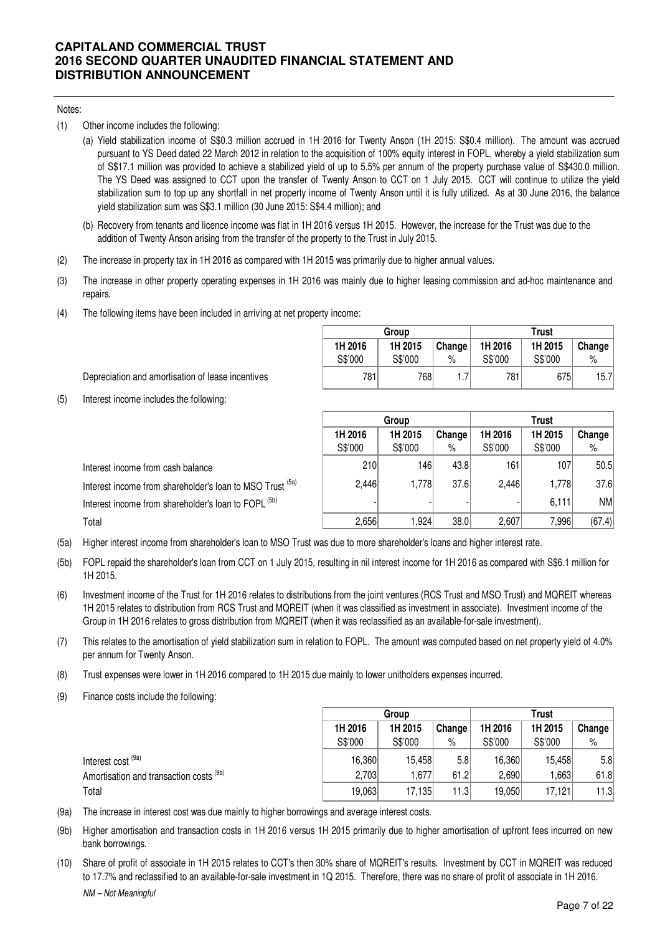#### Notes:

- (1) Other income includes the following:
	- (a) Yield stabilization income of S\$0.3 million accrued in 1H 2016 for Twenty Anson (1H 2015: S\$0.4 million). The amount was accrued pursuant to YS Deed dated 22 March 2012 in relation to the acquisition of 100% equity interest in FOPL, whereby a yield stabilization sum of S\$17.1 million was provided to achieve a stabilized yield of up to 5.5% per annum of the property purchase value of S\$430.0 million. The YS Deed was assigned to CCT upon the transfer of Twenty Anson to CCT on 1 July 2015. CCT will continue to utilize the yield stabilization sum to top up any shortfall in net property income of Twenty Anson until it is fully utilized. As at 30 June 2016, the balance yield stabilization sum was S\$3.1 million (30 June 2015: S\$4.4 million); and
	- (b) Recovery from tenants and licence income was flat in 1H 2016 versus 1H 2015. However, the increase for the Trust was due to the addition of Twenty Anson arising from the transfer of the property to the Trust in July 2015.
- (2) The increase in property tax in 1H 2016 as compared with 1H 2015 was primarily due to higher annual values.
- (3) The increase in other property operating expenses in 1H 2016 was mainly due to higher leasing commission and ad-hoc maintenance and repairs.
- (4) The following items have been included in arriving at net property income:

|         | Group   |        |         | <b>Trust</b> |                   |
|---------|---------|--------|---------|--------------|-------------------|
| 1H 2016 | 1H 2015 | Change | 1H 2016 | 1H 2015      | Change            |
| S\$'000 | S\$'000 | %      | S\$'000 | S\$'000      | %                 |
| 781     | 768     |        | 781     | 675          | 15.7 <sup>1</sup> |

**Trust**

Depreciation and amortisation of lease incentives

(5) Interest income includes the following:

|                                                                 | 1H 2016 | 1H 2015 | Change | 1H 2016 | 1H 2015 | Change |
|-----------------------------------------------------------------|---------|---------|--------|---------|---------|--------|
|                                                                 | S\$'000 | S\$'000 | $\%$   | S\$'000 | S\$'000 | $\%$   |
| Interest income from cash balance                               | 210     | 1461    | 43.8   | 161     | 107     | 50.5   |
| Interest income from shareholder's loan to MSO Trust (5a)       | 2,446   | 1,778   | 37.6   | 2.446   | 1.7781  | 37.6   |
| Interest income from shareholder's loan to FOPL <sup>(5b)</sup> |         |         |        |         | 6.111   | NM     |
| Total                                                           | 2,656   | .924    | 38.0   | 2,607   | 7,996   | (67.4) |

**Group**

- (5a) Higher interest income from shareholder's loan to MSO Trust was due to more shareholder's loans and higher interest rate.
- (5b) FOPL repaid the shareholder's loan from CCT on 1 July 2015, resulting in nil interest income for 1H 2016 as compared with S\$6.1 million for 1H 2015.
- (6) Investment income of the Trust for 1H 2016 relates to distributions from the joint ventures (RCS Trust and MSO Trust) and MQREIT whereas 1H 2015 relates to distribution from RCS Trust and MQREIT (when it was classified as investment in associate). Investment income of the Group in 1H 2016 relates to gross distribution from MQREIT (when it was reclassified as an available-for-sale investment).
- (7) This relates to the amortisation of yield stabilization sum in relation to FOPL. The amount was computed based on net property yield of 4.0% per annum for Twenty Anson.
- (8) Trust expenses were lower in 1H 2016 compared to 1H 2015 due mainly to lower unitholders expenses incurred.
- (9) Finance costs include the following:

|                                         | Group   |         |                  | <b>Trust</b> |         |                  |
|-----------------------------------------|---------|---------|------------------|--------------|---------|------------------|
|                                         | 1H 2016 | 1H 2015 | Change           | 1H 2016      | 1H 2015 | Change           |
|                                         | S\$'000 | S\$'000 | %                | S\$'000      | S\$'000 | %                |
| Interest cost <sup>(9a)</sup>           | 16.360  | 15.458  | 5.8 <sub>l</sub> | 16.360       | 15.458  | 5.8 <sub>1</sub> |
| Amortisation and transaction costs (9b) | 2,703   | ,677    | 61.2             | 2,690        | .663    | 61.8             |
| Total                                   | 19,063  | 17,135  | 11.3             | 19,050       | 17.121  | 11.3             |

- (9a) The increase in interest cost was due mainly to higher borrowings and average interest costs.
- (9b) Higher amortisation and transaction costs in 1H 2016 versus 1H 2015 primarily due to higher amortisation of upfront fees incurred on new bank borrowings.
- (10) Share of profit of associate in 1H 2015 relates to CCT's then 30% share of MQREIT's results. Investment by CCT in MQREIT was reduced to 17.7% and reclassified to an available-for-sale investment in 1Q 2015. Therefore, there was no share of profit of associate in 1H 2016.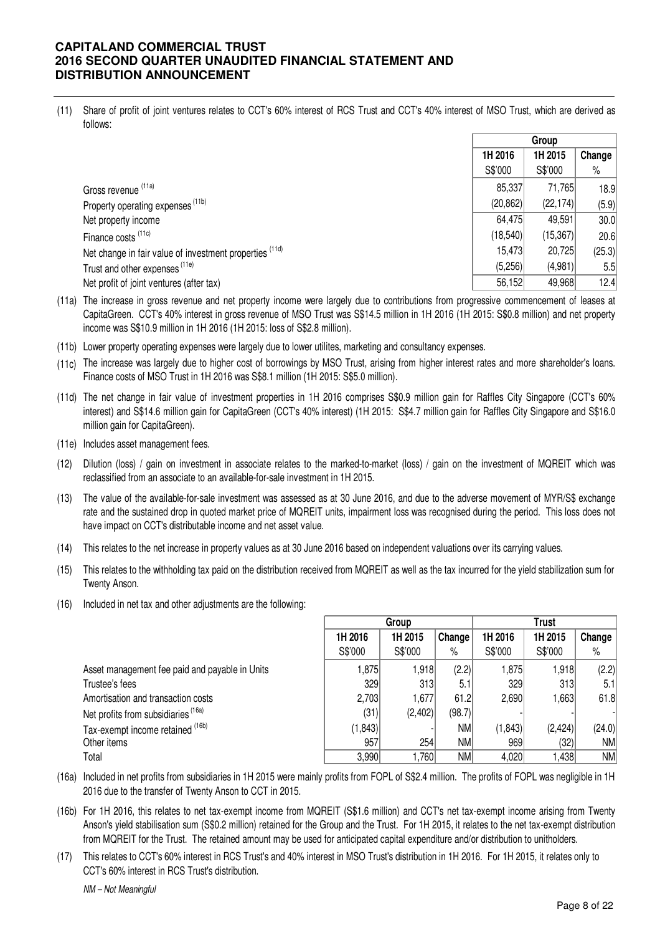(11) Share of profit of joint ventures relates to CCT's 60% interest of RCS Trust and CCT's 40% interest of MSO Trust, which are derived as follows:

|                                                         | Group     |           |        |
|---------------------------------------------------------|-----------|-----------|--------|
|                                                         | 1H 2016   | 1H 2015   | Change |
|                                                         | S\$'000   | S\$'000   | $\%$   |
| Gross revenue (11a)                                     | 85,337    | 71,765    | 18.9   |
| Property operating expenses <sup>(11b)</sup>            | (20, 862) | (22, 174) | (5.9)  |
| Net property income                                     | 64,475    | 49,591    | 30.0   |
| Finance costs (11c)                                     | (18, 540) | (15, 367) | 20.6   |
| Net change in fair value of investment properties (11d) | 15,473    | 20,725    | (25.3) |
| Trust and other expenses <sup>(11e)</sup>               | (5,256)   | (4,981)   | 5.5    |
| Net profit of joint ventures (after tax)                | 56,152    | 49,968    | 12.4   |

- (11a) The increase in gross revenue and net property income were largely due to contributions from progressive commencement of leases at CapitaGreen. CCT's 40% interest in gross revenue of MSO Trust was S\$14.5 million in 1H 2016 (1H 2015: S\$0.8 million) and net property income was S\$10.9 million in 1H 2016 (1H 2015: loss of S\$2.8 million).
- (11b) Lower property operating expenses were largely due to lower utilites, marketing and consultancy expenses.
- (11c) The increase was largely due to higher cost of borrowings by MSO Trust, arising from higher interest rates and more shareholder's loans. Finance costs of MSO Trust in 1H 2016 was S\$8.1 million (1H 2015: S\$5.0 million).
- (11d) The net change in fair value of investment properties in 1H 2016 comprises S\$0.9 million gain for Raffles City Singapore (CCT's 60% interest) and S\$14.6 million gain for CapitaGreen (CCT's 40% interest) (1H 2015: S\$4.7 million gain for Raffles City Singapore and S\$16.0 million gain for CapitaGreen).
- (11e) Includes asset management fees.
- (12) Dilution (loss) / gain on investment in associate relates to the marked-to-market (loss) / gain on the investment of MQREIT which was reclassified from an associate to an available-for-sale investment in 1H 2015.
- (13) The value of the available-for-sale investment was assessed as at 30 June 2016, and due to the adverse movement of MYR/S\$ exchange rate and the sustained drop in quoted market price of MQREIT units, impairment loss was recognised during the period. This loss does not have impact on CCT's distributable income and net asset value.
- (14) This relates to the net increase in property values as at 30 June 2016 based on independent valuations over its carrying values.
- (15) This relates to the withholding tax paid on the distribution received from MQREIT as well as the tax incurred for the yield stabilization sum for Twenty Anson.
- (16) Included in net tax and other adjustments are the following:

|                                                | Group    |         |        | <b>Trust</b> |          |        |
|------------------------------------------------|----------|---------|--------|--------------|----------|--------|
|                                                | 1H 2016  | 1H 2015 | Change | 1H 2016      | 1H 2015  | Change |
|                                                | S\$'000  | S\$'000 | $\%$   | S\$'000      | S\$'000  | $\%$   |
| Asset management fee paid and payable in Units | 1.875    | 1.918.  | (2.2)  | 1.875        | 1,918    | (2.2)  |
| Trustee's fees                                 | 329      | 313     | 5.1    | 329          | 313      | 5.1    |
| Amortisation and transaction costs             | 2,703    | 1,677   | 61.2   | 2,690        | .663     | 61.8   |
| Net profits from subsidiaries (16a)            | (31)     | (2,402) | (98.7) |              |          |        |
| Tax-exempt income retained (16b)               | (1, 843) |         | NM     | (1, 843)     | (2, 424) | (24.0) |
| Other items                                    | 957      | 254     | NM     | 969          | (32)     | NM     |
| Total                                          | 3,990    | 760, ا  | NM     | 4,020        | .438     | NM     |

- (16a) Included in net profits from subsidiaries in 1H 2015 were mainly profits from FOPL of S\$2.4 million. The profits of FOPL was negligible in 1H 2016 due to the transfer of Twenty Anson to CCT in 2015.
- (16b) For 1H 2016, this relates to net tax-exempt income from MQREIT (S\$1.6 million) and CCT's net tax-exempt income arising from Twenty Anson's yield stabilisation sum (S\$0.2 million) retained for the Group and the Trust. For 1H 2015, it relates to the net tax-exempt distribution from MQREIT for the Trust. The retained amount may be used for anticipated capital expenditure and/or distribution to unitholders.
- (17) This relates to CCT's 60% interest in RCS Trust's and 40% interest in MSO Trust's distribution in 1H 2016. For 1H 2015, it relates only to CCT's 60% interest in RCS Trust's distribution.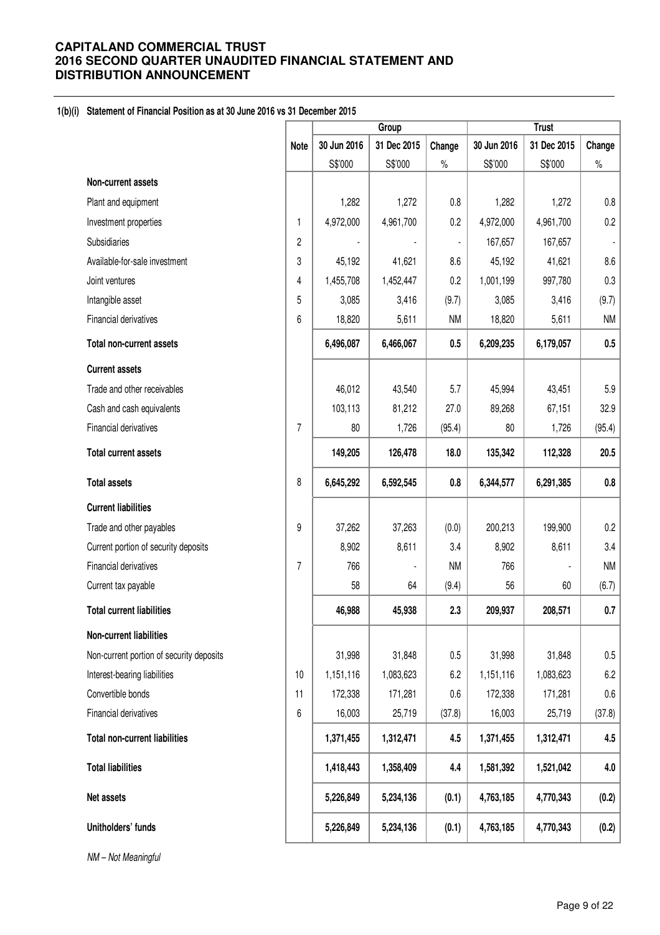## **1(b)(i) Statement of Financial Position as at 30 June 2016 vs 31 December 2015**

|                                          |                | <b>Trust</b><br>Group |             |                |             |             |           |
|------------------------------------------|----------------|-----------------------|-------------|----------------|-------------|-------------|-----------|
|                                          | <b>Note</b>    | 30 Jun 2016           | 31 Dec 2015 | Change         | 30 Jun 2016 | 31 Dec 2015 | Change    |
|                                          |                | S\$'000               | S\$'000     | $\%$           | S\$'000     | S\$'000     | $\%$      |
| Non-current assets                       |                |                       |             |                |             |             |           |
| Plant and equipment                      |                | 1,282                 | 1,272       | 0.8            | 1,282       | 1,272       | 0.8       |
| Investment properties                    | 1              | 4,972,000             | 4,961,700   | 0.2            | 4,972,000   | 4,961,700   | 0.2       |
| Subsidiaries                             | 2              |                       |             | $\overline{a}$ | 167,657     | 167,657     |           |
| Available-for-sale investment            | 3              | 45,192                | 41,621      | 8.6            | 45,192      | 41,621      | 8.6       |
| Joint ventures                           | 4              | 1,455,708             | 1,452,447   | 0.2            | 1,001,199   | 997,780     | 0.3       |
| Intangible asset                         | 5              | 3,085                 | 3,416       | (9.7)          | 3,085       | 3,416       | (9.7)     |
| Financial derivatives                    | 6              | 18,820                | 5,611       | <b>NM</b>      | 18,820      | 5,611       | <b>NM</b> |
| <b>Total non-current assets</b>          |                | 6,496,087             | 6,466,067   | 0.5            | 6,209,235   | 6,179,057   | 0.5       |
| <b>Current assets</b>                    |                |                       |             |                |             |             |           |
| Trade and other receivables              |                | 46,012                | 43,540      | 5.7            | 45,994      | 43,451      | 5.9       |
| Cash and cash equivalents                |                | 103,113               | 81,212      | 27.0           | 89,268      | 67,151      | 32.9      |
| Financial derivatives                    | $\overline{7}$ | 80                    | 1,726       | (95.4)         | 80          | 1,726       | (95.4)    |
| <b>Total current assets</b>              |                | 149,205               | 126,478     | 18.0           | 135,342     | 112,328     | 20.5      |
| <b>Total assets</b>                      | 8              | 6,645,292             | 6,592,545   | $0.8\,$        | 6,344,577   | 6,291,385   | 0.8       |
| <b>Current liabilities</b>               |                |                       |             |                |             |             |           |
| Trade and other payables                 | 9              | 37,262                | 37,263      | (0.0)          | 200,213     | 199,900     | 0.2       |
| Current portion of security deposits     |                | 8,902                 | 8,611       | 3.4            | 8,902       | 8,611       | 3.4       |
| Financial derivatives                    | $\overline{7}$ | 766                   |             | <b>NM</b>      | 766         |             | <b>NM</b> |
| Current tax payable                      |                | 58                    | 64          | (9.4)          | 56          | 60          | (6.7)     |
| <b>Total current liabilities</b>         |                | 46,988                | 45,938      | 2.3            | 209,937     | 208,571     | 0.7       |
| Non-current liabilities                  |                |                       |             |                |             |             |           |
| Non-current portion of security deposits |                | 31,998                | 31,848      | 0.5            | 31,998      | 31,848      | 0.5       |
| Interest-bearing liabilities             | 10             | 1,151,116             | 1,083,623   | 6.2            | 1,151,116   | 1,083,623   | 6.2       |
| Convertible bonds                        | 11             | 172,338               | 171,281     | 0.6            | 172,338     | 171,281     | $0.6\,$   |
| Financial derivatives                    | 6              | 16,003                | 25,719      | (37.8)         | 16,003      | 25,719      | (37.8)    |
| <b>Total non-current liabilities</b>     |                | 1,371,455             | 1,312,471   | 4.5            | 1,371,455   | 1,312,471   | 4.5       |
| <b>Total liabilities</b>                 |                | 1,418,443             | 1,358,409   | 4.4            | 1,581,392   | 1,521,042   | 4.0       |
| Net assets                               |                | 5,226,849             | 5,234,136   | (0.1)          | 4,763,185   | 4,770,343   | (0.2)     |
| Unitholders' funds                       |                | 5,226,849             | 5,234,136   | (0.1)          | 4,763,185   | 4,770,343   | (0.2)     |
| NM - Not Meaningful                      |                |                       |             |                |             |             |           |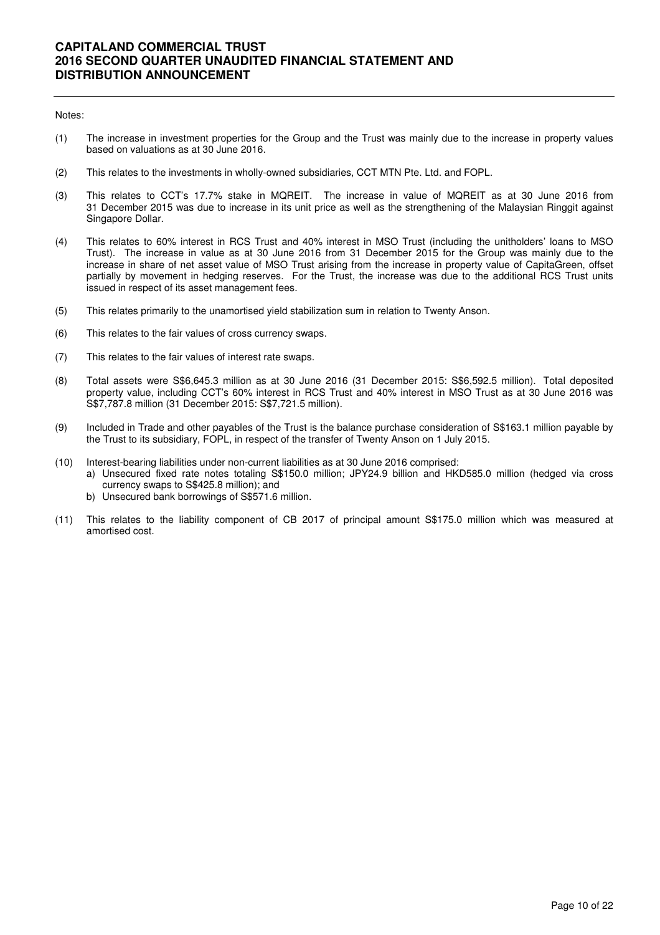#### Notes:

- (1) The increase in investment properties for the Group and the Trust was mainly due to the increase in property values based on valuations as at 30 June 2016.
- (2) This relates to the investments in wholly-owned subsidiaries, CCT MTN Pte. Ltd. and FOPL.
- (3) This relates to CCT's 17.7% stake in MQREIT. The increase in value of MQREIT as at 30 June 2016 from 31 December 2015 was due to increase in its unit price as well as the strengthening of the Malaysian Ringgit against Singapore Dollar.
- (4) This relates to 60% interest in RCS Trust and 40% interest in MSO Trust (including the unitholders' loans to MSO Trust). The increase in value as at 30 June 2016 from 31 December 2015 for the Group was mainly due to the increase in share of net asset value of MSO Trust arising from the increase in property value of CapitaGreen, offset partially by movement in hedging reserves. For the Trust, the increase was due to the additional RCS Trust units issued in respect of its asset management fees.
- (5) This relates primarily to the unamortised yield stabilization sum in relation to Twenty Anson.
- (6) This relates to the fair values of cross currency swaps.
- (7) This relates to the fair values of interest rate swaps.
- (8) Total assets were S\$6,645.3 million as at 30 June 2016 (31 December 2015: S\$6,592.5 million). Total deposited property value, including CCT's 60% interest in RCS Trust and 40% interest in MSO Trust as at 30 June 2016 was S\$7,787.8 million (31 December 2015: S\$7,721.5 million).
- (9) Included in Trade and other payables of the Trust is the balance purchase consideration of S\$163.1 million payable by the Trust to its subsidiary, FOPL, in respect of the transfer of Twenty Anson on 1 July 2015.
- (10) Interest-bearing liabilities under non-current liabilities as at 30 June 2016 comprised:
	- a) Unsecured fixed rate notes totaling S\$150.0 million; JPY24.9 billion and HKD585.0 million (hedged via cross currency swaps to S\$425.8 million); and
	- b) Unsecured bank borrowings of S\$571.6 million.
- (11) This relates to the liability component of CB 2017 of principal amount S\$175.0 million which was measured at amortised cost.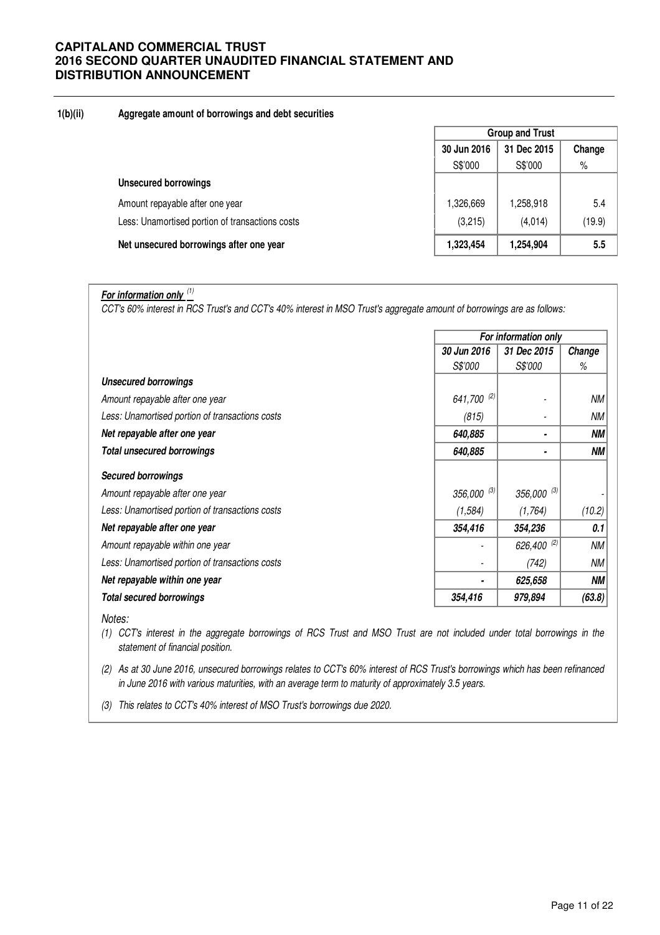## **1(b)(ii) Aggregate amount of borrowings and debt securities**

|                                                 | <b>Group and Trust</b> |             |        |  |
|-------------------------------------------------|------------------------|-------------|--------|--|
|                                                 | 30 Jun 2016            | 31 Dec 2015 | Change |  |
|                                                 | S\$'000                | S\$'000     | $\%$   |  |
| <b>Unsecured borrowings</b>                     |                        |             |        |  |
| Amount repayable after one year                 | 1,326,669              | 1,258,918   | 5.4    |  |
| Less: Unamortised portion of transactions costs | (3,215)                | (4,014)     | (19.9) |  |
| Net unsecured borrowings after one year         | 1,323,454              | 1,254,904   | 5.5    |  |

# **For information only** (1)

CCT's 60% interest in RCS Trust's and CCT's 40% interest in MSO Trust's aggregate amount of borrowings are as follows:

|                                                 | For information only |                 |        |  |
|-------------------------------------------------|----------------------|-----------------|--------|--|
|                                                 | 30 Jun 2016          | 31 Dec 2015     | Change |  |
|                                                 | <i>S\$'000</i>       | <i>S\$'000</i>  | ℅      |  |
| <b>Unsecured borrowings</b>                     |                      |                 |        |  |
| Amount repayable after one year                 | 641,700 (2)          |                 | NМ     |  |
| Less: Unamortised portion of transactions costs | (815)                |                 | NМ     |  |
| Net repayable after one year                    | 640,885              |                 | ΝM     |  |
| <b>Total unsecured borrowings</b>               | 640,885              | ٠               | NΜ     |  |
| <b>Secured borrowings</b>                       |                      |                 |        |  |
| Amount repayable after one year                 | $356,000^{(3)}$      | $356,000^{(3)}$ |        |  |
| Less: Unamortised portion of transactions costs | (1, 584)             | (1,764)         | (10.2) |  |
| Net repayable after one year                    | 354,416              | 354,236         | 0.1    |  |
| Amount repayable within one year                |                      | 626,400 (2)     | NМ     |  |
| Less: Unamortised portion of transactions costs |                      | (742)           | NМ     |  |
| Net repayable within one year                   | ٠                    | 625,658         | NΜ     |  |
| <b>Total secured borrowings</b>                 | 354,416              | 979,894         | (63.8) |  |

Notes:

(1) CCT's interest in the aggregate borrowings of RCS Trust and MSO Trust are not included under total borrowings in the statement of financial position.

(2) As at 30 June 2016, unsecured borrowings relates to CCT's 60% interest of RCS Trust's borrowings which has been refinanced in June 2016 with various maturities, with an average term to maturity of approximately 3.5 years.

(3) This relates to CCT's 40% interest of MSO Trust's borrowings due 2020.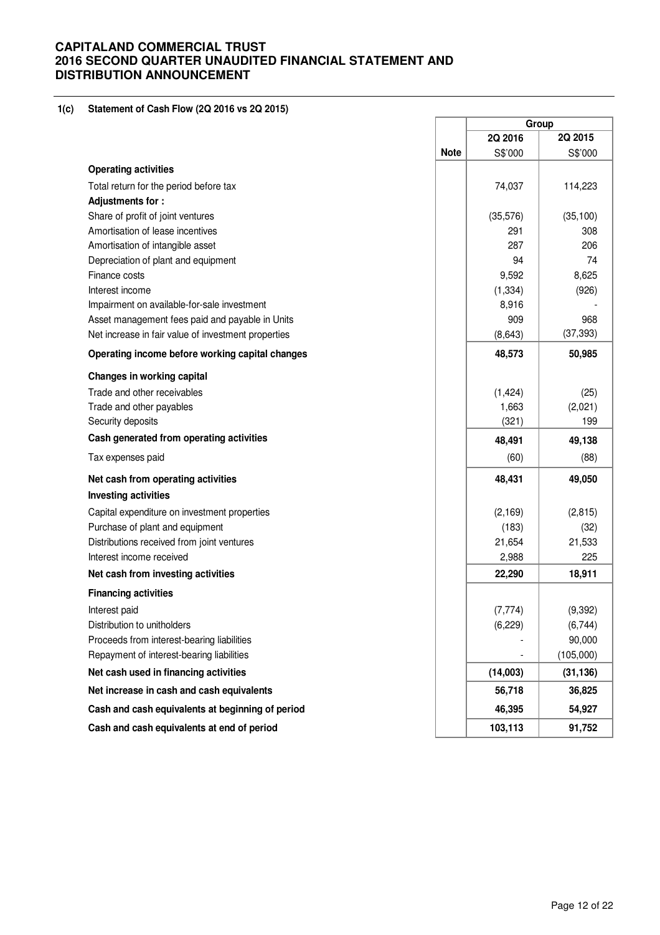## **1(c) Statement of Cash Flow (2Q 2016 vs 2Q 2015)**

|                                                     |             | Group    |           |  |
|-----------------------------------------------------|-------------|----------|-----------|--|
|                                                     |             | 2Q 2016  | 2Q 2015   |  |
|                                                     | <b>Note</b> | S\$'000  | S\$'000   |  |
| <b>Operating activities</b>                         |             |          |           |  |
| Total return for the period before tax              |             | 74,037   | 114,223   |  |
| <b>Adjustments for:</b>                             |             |          |           |  |
| Share of profit of joint ventures                   |             | (35,576) | (35, 100) |  |
| Amortisation of lease incentives                    |             | 291      | 308       |  |
| Amortisation of intangible asset                    |             | 287      | 206       |  |
| Depreciation of plant and equipment                 |             | 94       | 74        |  |
| Finance costs                                       |             | 9,592    | 8,625     |  |
| Interest income                                     |             | (1, 334) | (926)     |  |
| Impairment on available-for-sale investment         |             | 8,916    |           |  |
| Asset management fees paid and payable in Units     |             | 909      | 968       |  |
| Net increase in fair value of investment properties |             | (8,643)  | (37, 393) |  |
| Operating income before working capital changes     |             | 48,573   | 50,985    |  |
| Changes in working capital                          |             |          |           |  |
| Trade and other receivables                         |             | (1, 424) | (25)      |  |
| Trade and other payables                            |             | 1,663    | (2,021)   |  |
| Security deposits                                   |             | (321)    | 199       |  |
| Cash generated from operating activities            |             | 48,491   | 49,138    |  |
| Tax expenses paid                                   |             | (60)     | (88)      |  |
| Net cash from operating activities                  |             | 48,431   | 49,050    |  |
| <b>Investing activities</b>                         |             |          |           |  |
| Capital expenditure on investment properties        |             | (2, 169) | (2,815)   |  |
| Purchase of plant and equipment                     |             | (183)    | (32)      |  |
| Distributions received from joint ventures          |             | 21,654   | 21,533    |  |
| Interest income received                            |             | 2,988    | 225       |  |
| Net cash from investing activities                  |             | 22,290   | 18,911    |  |
| <b>Financing activities</b>                         |             |          |           |  |
| Interest paid                                       |             | (7, 774) | (9, 392)  |  |
| Distribution to unitholders                         |             | (6, 229) | (6,744)   |  |
| Proceeds from interest-bearing liabilities          |             |          | 90,000    |  |
| Repayment of interest-bearing liabilities           |             |          | (105,000) |  |
| Net cash used in financing activities               |             | (14,003) | (31, 136) |  |
| Net increase in cash and cash equivalents           |             | 56,718   | 36,825    |  |
| Cash and cash equivalents at beginning of period    |             | 46,395   | 54,927    |  |
| Cash and cash equivalents at end of period          |             | 103,113  | 91,752    |  |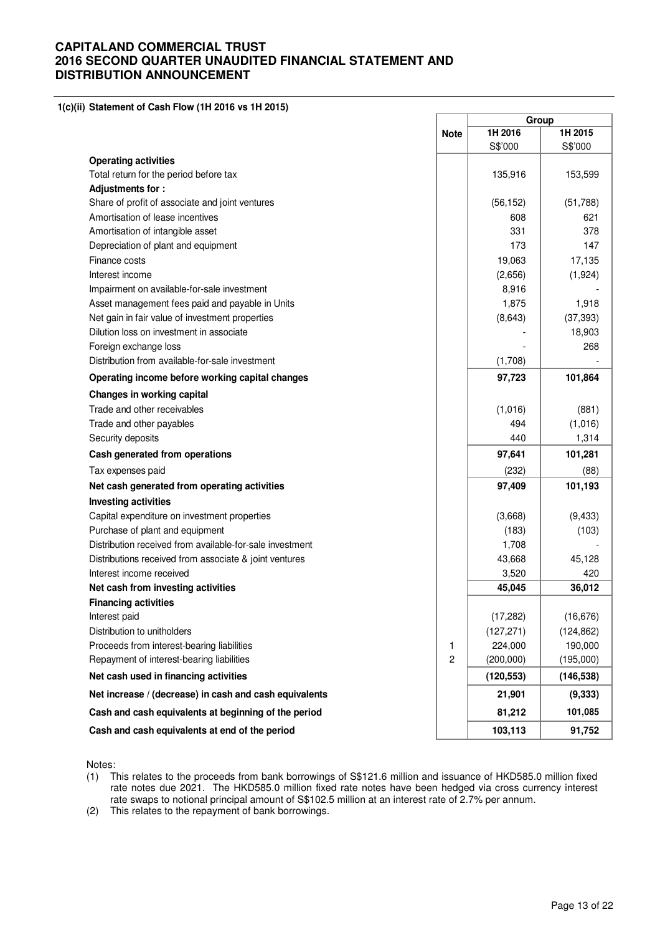**1(c)(ii) Statement of Cash Flow (1H 2016 vs 1H 2015)**

| <b>Operating activities</b><br>Total return for the period before tax<br>Adjustments for:<br>Share of profit of associate and joint ventures<br>Amortisation of lease incentives<br>Amortisation of intangible asset | <b>Note</b> | 1H 2016<br>S\$'000<br>135,916 | 1H 2015<br>S\$'000 |
|----------------------------------------------------------------------------------------------------------------------------------------------------------------------------------------------------------------------|-------------|-------------------------------|--------------------|
|                                                                                                                                                                                                                      |             |                               |                    |
|                                                                                                                                                                                                                      |             |                               |                    |
|                                                                                                                                                                                                                      |             |                               |                    |
|                                                                                                                                                                                                                      |             |                               | 153,599            |
|                                                                                                                                                                                                                      |             |                               |                    |
|                                                                                                                                                                                                                      |             | (56, 152)                     | (51,788)           |
|                                                                                                                                                                                                                      |             | 608                           | 621                |
|                                                                                                                                                                                                                      |             | 331                           | 378                |
| Depreciation of plant and equipment                                                                                                                                                                                  |             | 173                           | 147                |
| Finance costs                                                                                                                                                                                                        |             | 19,063                        | 17,135             |
| Interest income                                                                                                                                                                                                      |             | (2,656)                       | (1, 924)           |
| Impairment on available-for-sale investment                                                                                                                                                                          |             | 8,916                         |                    |
| Asset management fees paid and payable in Units                                                                                                                                                                      |             | 1,875                         | 1,918              |
| Net gain in fair value of investment properties                                                                                                                                                                      |             | (8,643)                       | (37, 393)          |
| Dilution loss on investment in associate                                                                                                                                                                             |             |                               | 18,903             |
| Foreign exchange loss                                                                                                                                                                                                |             |                               | 268                |
| Distribution from available-for-sale investment                                                                                                                                                                      |             | (1,708)                       |                    |
| Operating income before working capital changes                                                                                                                                                                      |             | 97,723                        | 101,864            |
| Changes in working capital                                                                                                                                                                                           |             |                               |                    |
| Trade and other receivables                                                                                                                                                                                          |             | (1,016)                       | (881)              |
| Trade and other payables                                                                                                                                                                                             |             | 494                           | (1,016)            |
| Security deposits                                                                                                                                                                                                    |             | 440                           | 1,314              |
| Cash generated from operations                                                                                                                                                                                       |             | 97,641                        | 101,281            |
| Tax expenses paid                                                                                                                                                                                                    |             | (232)                         | (88)               |
| Net cash generated from operating activities                                                                                                                                                                         |             | 97,409                        | 101,193            |
| <b>Investing activities</b>                                                                                                                                                                                          |             |                               |                    |
| Capital expenditure on investment properties                                                                                                                                                                         |             | (3,668)                       | (9, 433)           |
| Purchase of plant and equipment                                                                                                                                                                                      |             | (183)                         | (103)              |
| Distribution received from available-for-sale investment                                                                                                                                                             |             | 1,708                         |                    |
| Distributions received from associate & joint ventures                                                                                                                                                               |             | 43,668                        | 45,128             |
| Interest income received                                                                                                                                                                                             |             | 3,520                         | 420                |
| Net cash from investing activities                                                                                                                                                                                   |             | 45,045                        | 36,012             |
| <b>Financing activities</b>                                                                                                                                                                                          |             |                               |                    |
| Interest paid                                                                                                                                                                                                        |             | (17, 282)                     | (16, 676)          |
| Distribution to unitholders                                                                                                                                                                                          |             | (127, 271)                    | (124, 862)         |
| Proceeds from interest-bearing liabilities                                                                                                                                                                           | 1           | 224,000                       | 190,000            |
| Repayment of interest-bearing liabilities                                                                                                                                                                            | 2           | (200,000)                     | (195,000)          |
| Net cash used in financing activities                                                                                                                                                                                |             | (120, 553)                    | (146, 538)         |
| Net increase / (decrease) in cash and cash equivalents                                                                                                                                                               |             | 21,901                        | (9, 333)           |
| Cash and cash equivalents at beginning of the period                                                                                                                                                                 |             | 81,212                        | 101,085            |
| Cash and cash equivalents at end of the period                                                                                                                                                                       |             | 103,113                       | 91,752             |

Notes:

(1) This relates to the proceeds from bank borrowings of S\$121.6 million and issuance of HKD585.0 million fixed rate notes due 2021. The HKD585.0 million fixed rate notes have been hedged via cross currency interest rate swaps to notional principal amount of S\$102.5 million at an interest rate of 2.7% per annum.

(2) This relates to the repayment of bank borrowings.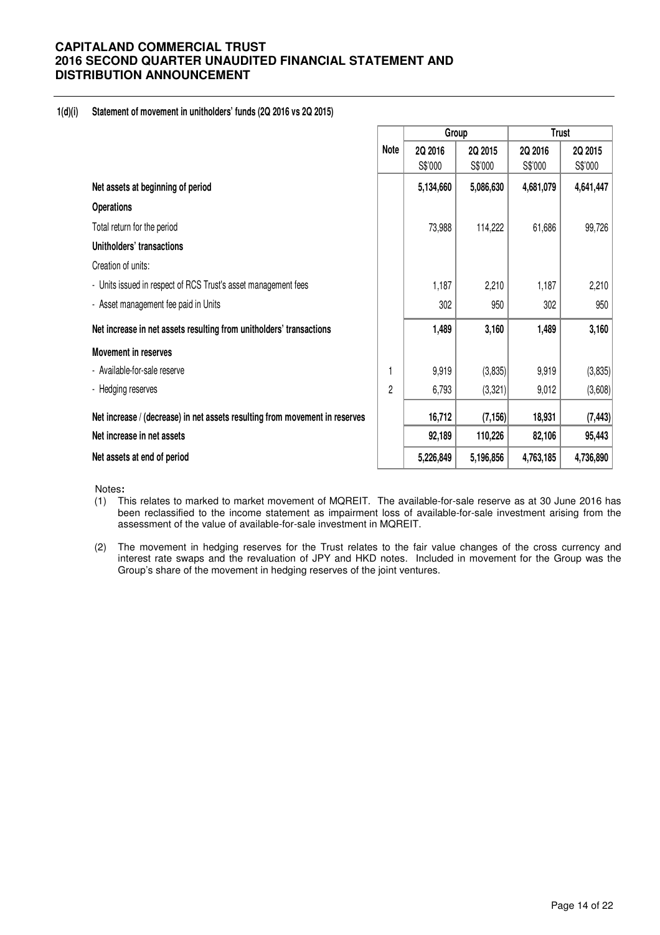## **1(d)(i) Statement of movement in unitholders' funds (2Q 2016 vs 2Q 2015)**

|                                                                             |      | Group              |                    |                    | <b>Trust</b>       |
|-----------------------------------------------------------------------------|------|--------------------|--------------------|--------------------|--------------------|
|                                                                             | Note | 2Q 2016<br>S\$'000 | 2Q 2015<br>S\$'000 | 2Q 2016<br>S\$'000 | 2Q 2015<br>S\$'000 |
| Net assets at beginning of period                                           |      | 5,134,660          | 5,086,630          | 4,681,079          | 4,641,447          |
| <b>Operations</b>                                                           |      |                    |                    |                    |                    |
| Total return for the period                                                 |      | 73,988             | 114,222            | 61,686             | 99,726             |
| Unitholders' transactions                                                   |      |                    |                    |                    |                    |
| Creation of units:                                                          |      |                    |                    |                    |                    |
| - Units issued in respect of RCS Trust's asset management fees              |      | 1,187              | 2,210              | 1,187              | 2,210              |
| - Asset management fee paid in Units                                        |      | 302                | 950                | 302                | 950                |
| Net increase in net assets resulting from unitholders' transactions         |      | 1,489              | 3,160              | 1,489              | 3,160              |
| Movement in reserves                                                        |      |                    |                    |                    |                    |
| - Available-for-sale reserve                                                |      | 9,919              | (3,835)            | 9,919              | (3,835)            |
| - Hedging reserves                                                          | 2    | 6,793              | (3,321)            | 9,012              | (3,608)            |
| Net increase / (decrease) in net assets resulting from movement in reserves |      | 16,712             | (7, 156)           | 18,931             | (7, 443)           |
| Net increase in net assets                                                  |      | 92,189             | 110,226            | 82,106             | 95,443             |
| Net assets at end of period                                                 |      | 5,226,849          | 5,196,856          | 4,763,185          | 4,736,890          |

Notes**:** 

- (1) This relates to marked to market movement of MQREIT. The available-for-sale reserve as at 30 June 2016 has been reclassified to the income statement as impairment loss of available-for-sale investment arising from the assessment of the value of available-for-sale investment in MQREIT.
- (2) The movement in hedging reserves for the Trust relates to the fair value changes of the cross currency and interest rate swaps and the revaluation of JPY and HKD notes. Included in movement for the Group was the Group's share of the movement in hedging reserves of the joint ventures.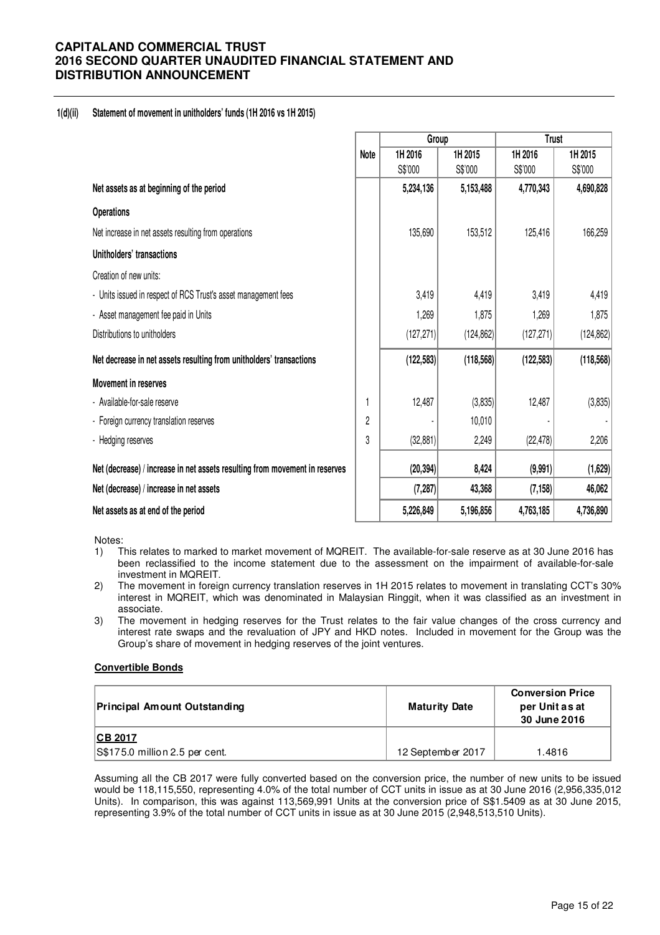## **1(d)(ii) Statement of movement in unitholders' funds (1H 2016 vs 1H 2015)**

|                                                                             |                | Group      |            | <b>Trust</b> |            |  |
|-----------------------------------------------------------------------------|----------------|------------|------------|--------------|------------|--|
|                                                                             | <b>Note</b>    | 1H 2016    | 1H 2015    | 1H 2016      | 1H 2015    |  |
|                                                                             |                | S\$'000    | S\$'000    | S\$'000      | S\$'000    |  |
| Net assets as at beginning of the period                                    |                | 5,234,136  | 5,153,488  | 4,770,343    | 4,690,828  |  |
| <b>Operations</b>                                                           |                |            |            |              |            |  |
| Net increase in net assets resulting from operations                        |                | 135,690    | 153,512    | 125,416      | 166,259    |  |
| Unitholders' transactions                                                   |                |            |            |              |            |  |
| Creation of new units:                                                      |                |            |            |              |            |  |
| - Units issued in respect of RCS Trust's asset management fees              |                | 3,419      | 4,419      | 3,419        | 4,419      |  |
| - Asset management fee paid in Units                                        |                | 1,269      | 1,875      | 1,269        | 1,875      |  |
| Distributions to unitholders                                                |                | (127, 271) | (124, 862) | (127, 271)   | (124, 862) |  |
| Net decrease in net assets resulting from unitholders' transactions         |                | (122, 583) | (118, 568) | (122, 583)   | (118, 568) |  |
| <b>Movement in reserves</b>                                                 |                |            |            |              |            |  |
| - Available-for-sale reserve                                                |                | 12,487     | (3,835)    | 12,487       | (3,835)    |  |
| - Foreign currency translation reserves                                     | $\overline{2}$ |            | 10,010     |              |            |  |
| - Hedging reserves                                                          | 3              | (32, 881)  | 2,249      | (22, 478)    | 2,206      |  |
| Net (decrease) / increase in net assets resulting from movement in reserves |                | (20, 394)  | 8,424      | (9,991)      | (1,629)    |  |
| Net (decrease) / increase in net assets                                     |                | (7, 287)   | 43,368     | (7, 158)     | 46,062     |  |
| Net assets as at end of the period                                          |                | 5,226,849  | 5,196,856  | 4,763,185    | 4,736,890  |  |

Notes:

- 1) This relates to marked to market movement of MQREIT. The available-for-sale reserve as at 30 June 2016 has been reclassified to the income statement due to the assessment on the impairment of available-for-sale investment in MQREIT.
- 2) The movement in foreign currency translation reserves in 1H 2015 relates to movement in translating CCT's 30% interest in MQREIT, which was denominated in Malaysian Ringgit, when it was classified as an investment in associate.
- 3) The movement in hedging reserves for the Trust relates to the fair value changes of the cross currency and interest rate swaps and the revaluation of JPY and HKD notes. Included in movement for the Group was the Group's share of movement in hedging reserves of the joint ventures.

## **Convertible Bonds**

| Principal Amount Outstanding   | <b>Maturity Date</b> | <b>Conversion Price</b><br>per Unit as at<br>30 June 2016 |
|--------------------------------|----------------------|-----------------------------------------------------------|
| <b>ICB 2017</b>                |                      |                                                           |
| S\$175.0 million 2.5 per cent. | 12 September 2017    | 1.4816                                                    |

Assuming all the CB 2017 were fully converted based on the conversion price, the number of new units to be issued would be 118,115,550, representing 4.0% of the total number of CCT units in issue as at 30 June 2016 (2,956,335,012 Units). In comparison, this was against 113,569,991 Units at the conversion price of S\$1.5409 as at 30 June 2015, representing 3.9% of the total number of CCT units in issue as at 30 June 2015 (2,948,513,510 Units).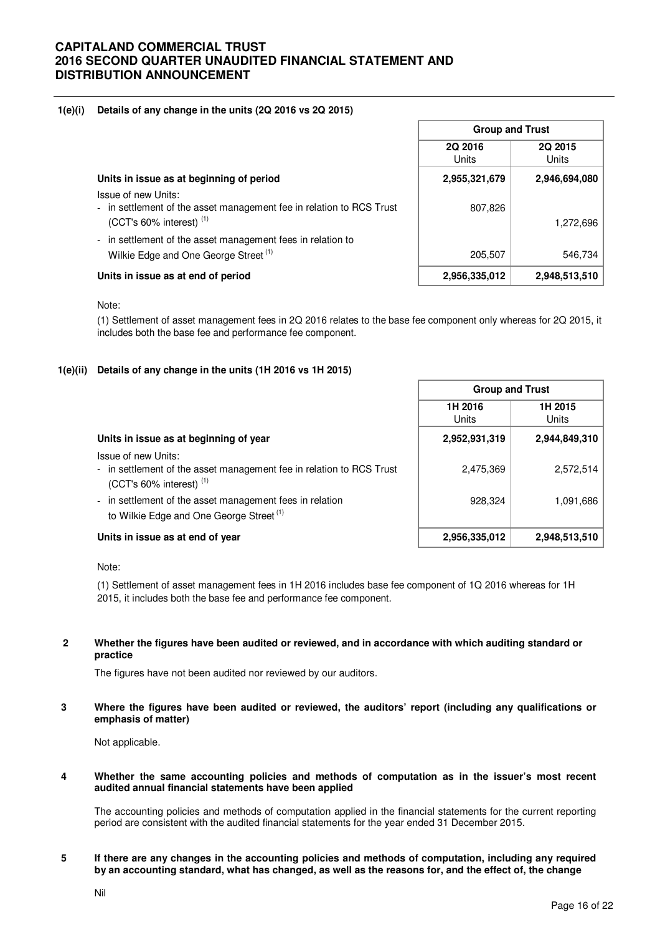## **1(e)(i) Details of any change in the units (2Q 2016 vs 2Q 2015)**

|                                                                                                                                    | <b>Group and Trust</b>  |                         |  |
|------------------------------------------------------------------------------------------------------------------------------------|-------------------------|-------------------------|--|
|                                                                                                                                    | 2Q 2016<br><b>Units</b> | 2Q 2015<br><b>Units</b> |  |
| Units in issue as at beginning of period                                                                                           | 2,955,321,679           | 2,946,694,080           |  |
| Issue of new Units:<br>- in settlement of the asset management fee in relation to RCS Trust<br>(CCT's 60% interest) <sup>(1)</sup> | 807,826                 | 1,272,696               |  |
| - in settlement of the asset management fees in relation to<br>Wilkie Edge and One George Street <sup>(1)</sup>                    | 205,507                 | 546,734                 |  |
| Units in issue as at end of period                                                                                                 | 2,956,335,012           | 2,948,513,510           |  |

#### Note:

(1) Settlement of asset management fees in 2Q 2016 relates to the base fee component only whereas for 2Q 2015, it includes both the base fee and performance fee component.

## **1(e)(ii) Details of any change in the units (1H 2016 vs 1H 2015)**

|                                                                                                                              | <b>Group and Trust</b> |                  |
|------------------------------------------------------------------------------------------------------------------------------|------------------------|------------------|
|                                                                                                                              | 1H 2016<br>Units       | 1H 2015<br>Units |
| Units in issue as at beginning of year                                                                                       | 2,952,931,319          | 2,944,849,310    |
| Issue of new Units:<br>- in settlement of the asset management fee in relation to RCS Trust<br>$(CCT's 60\%$ interest) $(1)$ | 2,475,369              | 2,572,514        |
| - in settlement of the asset management fees in relation<br>to Wilkie Edge and One George Street <sup>(1)</sup>              | 928,324                | 1,091,686        |
| Units in issue as at end of year                                                                                             | 2,956,335,012          | 2,948,513,510    |

Note:

(1) Settlement of asset management fees in 1H 2016 includes base fee component of 1Q 2016 whereas for 1H 2015, it includes both the base fee and performance fee component.

#### **2 Whether the figures have been audited or reviewed, and in accordance with which auditing standard or practice**

The figures have not been audited nor reviewed by our auditors.

**3 Where the figures have been audited or reviewed, the auditors' report (including any qualifications or emphasis of matter)** 

Not applicable.

#### **4 Whether the same accounting policies and methods of computation as in the issuer's most recent audited annual financial statements have been applied**

The accounting policies and methods of computation applied in the financial statements for the current reporting period are consistent with the audited financial statements for the year ended 31 December 2015.

**5 If there are any changes in the accounting policies and methods of computation, including any required by an accounting standard, what has changed, as well as the reasons for, and the effect of, the change**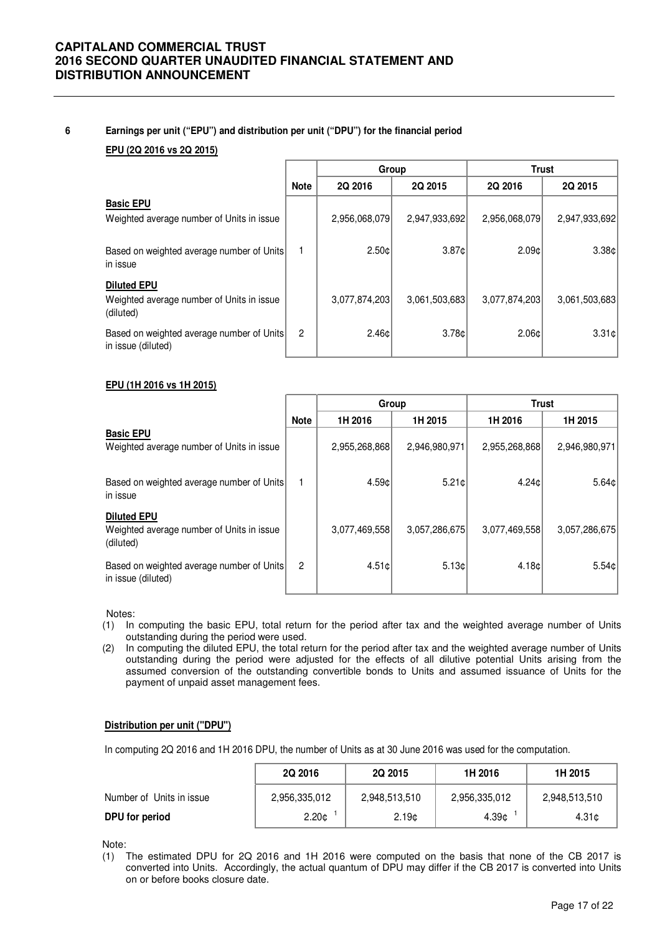#### **6 Earnings per unit ("EPU") and distribution per unit ("DPU") for the financial period**

## **EPU (2Q 2016 vs 2Q 2015)**

|                                                                              |                | Group         |               | <b>Trust</b>  |               |
|------------------------------------------------------------------------------|----------------|---------------|---------------|---------------|---------------|
|                                                                              | <b>Note</b>    | 2Q 2016       | 2Q 2015       | 2Q 2016       | 2Q 2015       |
| <b>Basic EPU</b><br>Weighted average number of Units in issue                |                | 2,956,068,079 | 2,947,933,692 | 2,956,068,079 | 2,947,933,692 |
| Based on weighted average number of Units<br>in issue                        |                | 2.50c         | 3.87c         | 2.09c         | 3.38c         |
| <b>Diluted EPU</b><br>Weighted average number of Units in issue<br>(diluted) |                | 3,077,874,203 | 3,061,503,683 | 3,077,874,203 | 3,061,503,683 |
| Based on weighted average number of Units<br>in issue (diluted)              | $\overline{2}$ | 2.46c         | 3.78c         | 2.06c         | 3.31c         |

## **EPU (1H 2016 vs 1H 2015)**

|                                                                              |                | Group         |               | <b>Trust</b>  |                 |
|------------------------------------------------------------------------------|----------------|---------------|---------------|---------------|-----------------|
|                                                                              | <b>Note</b>    | 1H 2016       | 1H 2015       | 1H 2016       | 1H 2015         |
| <b>Basic EPU</b><br>Weighted average number of Units in issue                |                | 2,955,268,868 | 2,946,980,971 | 2,955,268,868 | 2,946,980,971   |
| Based on weighted average number of Units<br>in issue                        |                | 4.59c         | 5.21c         | 4.24c         | $5.64 \text{C}$ |
| <b>Diluted EPU</b><br>Weighted average number of Units in issue<br>(diluted) |                | 3,077,469,558 | 3,057,286,675 | 3,077,469,558 | 3,057,286,675   |
| Based on weighted average number of Units<br>in issue (diluted)              | $\overline{2}$ | 4.51c         | 5.13c         | 4.18c         | 5.54c           |

Notes:

- (1) In computing the basic EPU, total return for the period after tax and the weighted average number of Units outstanding during the period were used.
- (2) In computing the diluted EPU, the total return for the period after tax and the weighted average number of Units outstanding during the period were adjusted for the effects of all dilutive potential Units arising from the assumed conversion of the outstanding convertible bonds to Units and assumed issuance of Units for the payment of unpaid asset management fees.

#### **Distribution per unit ("DPU")**

In computing 2Q 2016 and 1H 2016 DPU, the number of Units as at 30 June 2016 was used for the computation.

|                          | 2Q 2016           | 2Q 2015           | 1H 2016       | 1H 2015       |
|--------------------------|-------------------|-------------------|---------------|---------------|
| Number of Units in issue | 2,956,335,012     | 2,948,513,510     | 2,956,335,012 | 2,948,513,510 |
| DPU for period           | 2.20 <sub>¢</sub> | 2.19 <sub>0</sub> | 4.39¢         | 4.31¢         |

Note:

(1) The estimated DPU for 2Q 2016 and 1H 2016 were computed on the basis that none of the CB 2017 is converted into Units. Accordingly, the actual quantum of DPU may differ if the CB 2017 is converted into Units on or before books closure date.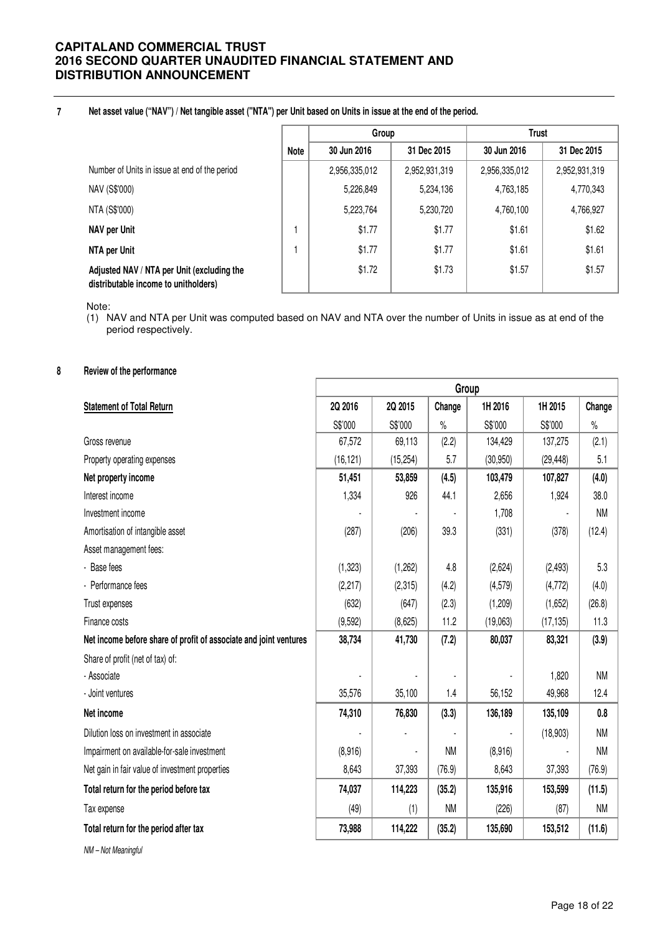#### **7 Net asset value ("NAV") / Net tangible asset ("NTA") per Unit based on Units in issue at the end of the period.**

|                                                                                    |             | Group         |               | <b>Trust</b>  |               |
|------------------------------------------------------------------------------------|-------------|---------------|---------------|---------------|---------------|
|                                                                                    | <b>Note</b> | 30 Jun 2016   | 31 Dec 2015   | 30 Jun 2016   | 31 Dec 2015   |
| Number of Units in issue at end of the period                                      |             | 2,956,335,012 | 2,952,931,319 | 2,956,335,012 | 2,952,931,319 |
| NAV (S\$'000)                                                                      |             | 5,226,849     | 5,234,136     | 4,763,185     | 4,770,343     |
| NTA (S\$'000)                                                                      |             | 5,223,764     | 5,230,720     | 4,760,100     | 4,766,927     |
| NAV per Unit                                                                       |             | \$1.77        | \$1.77        | \$1.61        | \$1.62        |
| NTA per Unit                                                                       |             | \$1.77        | \$1.77        | \$1.61        | \$1.61        |
| Adjusted NAV / NTA per Unit (excluding the<br>distributable income to unitholders) |             | \$1.72        | \$1.73        | \$1.57        | \$1.57        |

Note:

(1) NAV and NTA per Unit was computed based on NAV and NTA over the number of Units in issue as at end of the period respectively.

## **8 Review of the performance**

| 2Q 2015<br>1H 2016<br>1H 2015<br>2Q 2016<br>Change<br>Change<br><b>Statement of Total Return</b><br>S\$'000<br>S\$'000<br>S\$'000<br>S\$'000<br>$\%$<br>$\%$<br>67,572<br>69,113<br>(2.2)<br>134,429<br>137,275<br>(2.1)<br>Gross revenue<br>5.7<br>(30, 950)<br>5.1<br>Property operating expenses<br>(16, 121)<br>(15, 254)<br>(29, 448)<br>(4.5)<br>103,479<br>Net property income<br>51,451<br>53,859<br>107,827<br>(4.0)<br>Interest income<br>926<br>44.1<br>1,334<br>2,656<br>1,924<br>38.0<br>Investment income<br>1,708<br>ΝM<br>Amortisation of intangible asset<br>(287)<br>(206)<br>39.3<br>(331)<br>(378)<br>(12.4)<br>Asset management fees:<br>- Base fees<br>(1, 323)<br>4.8<br>5.3<br>(1,262)<br>(2,624)<br>(2, 493)<br>(4.2)<br>- Performance fees<br>(2, 217)<br>(2,315)<br>(4, 579)<br>(4, 772)<br>(4.0)<br>(632)<br>(2.3)<br>Trust expenses<br>(647)<br>(1,209)<br>(1,652)<br>(26.8)<br>11.2<br>(9,592)<br>(8,625)<br>11.3<br>Finance costs<br>(19,063)<br>(17, 135)<br>38,734<br>41,730<br>(7.2)<br>Net income before share of profit of associate and joint ventures<br>80,037<br>83,321<br>(3.9)<br>Share of profit (net of tax) of:<br><b>NM</b><br>- Associate<br>1,820<br>- Joint ventures<br>35,576<br>35,100<br>1.4<br>56,152<br>49,968<br>12.4<br>Net income<br>74,310<br>76,830<br>(3.3)<br>136,189<br>135,109<br>0.8<br>Dilution loss on investment in associate<br><b>NM</b><br>(18,903)<br><b>NM</b><br>(8,916)<br>Impairment on available-for-sale investment<br>(8,916)<br>ΝM<br>Net gain in fair value of investment properties<br>8,643<br>37,393<br>(76.9)<br>8,643<br>37,393<br>(76.9)<br>74,037<br>135,916<br>Total return for the period before tax<br>114,223<br>(35.2)<br>153,599<br>(11.5)<br><b>NM</b><br><b>NM</b><br>(49)<br>(1)<br>(226)<br>(87)<br>Tax expense<br>73,988<br>Total return for the period after tax<br>114,222<br>(35.2)<br>135,690<br>153,512<br>(11.6) | Group |  |  |  |  |  |
|--------------------------------------------------------------------------------------------------------------------------------------------------------------------------------------------------------------------------------------------------------------------------------------------------------------------------------------------------------------------------------------------------------------------------------------------------------------------------------------------------------------------------------------------------------------------------------------------------------------------------------------------------------------------------------------------------------------------------------------------------------------------------------------------------------------------------------------------------------------------------------------------------------------------------------------------------------------------------------------------------------------------------------------------------------------------------------------------------------------------------------------------------------------------------------------------------------------------------------------------------------------------------------------------------------------------------------------------------------------------------------------------------------------------------------------------------------------------------------------------------------------------------------------------------------------------------------------------------------------------------------------------------------------------------------------------------------------------------------------------------------------------------------------------------------------------------------------------------------------------------------------------------------------------------|-------|--|--|--|--|--|
|                                                                                                                                                                                                                                                                                                                                                                                                                                                                                                                                                                                                                                                                                                                                                                                                                                                                                                                                                                                                                                                                                                                                                                                                                                                                                                                                                                                                                                                                                                                                                                                                                                                                                                                                                                                                                                                                                                                          |       |  |  |  |  |  |
|                                                                                                                                                                                                                                                                                                                                                                                                                                                                                                                                                                                                                                                                                                                                                                                                                                                                                                                                                                                                                                                                                                                                                                                                                                                                                                                                                                                                                                                                                                                                                                                                                                                                                                                                                                                                                                                                                                                          |       |  |  |  |  |  |
|                                                                                                                                                                                                                                                                                                                                                                                                                                                                                                                                                                                                                                                                                                                                                                                                                                                                                                                                                                                                                                                                                                                                                                                                                                                                                                                                                                                                                                                                                                                                                                                                                                                                                                                                                                                                                                                                                                                          |       |  |  |  |  |  |
|                                                                                                                                                                                                                                                                                                                                                                                                                                                                                                                                                                                                                                                                                                                                                                                                                                                                                                                                                                                                                                                                                                                                                                                                                                                                                                                                                                                                                                                                                                                                                                                                                                                                                                                                                                                                                                                                                                                          |       |  |  |  |  |  |
|                                                                                                                                                                                                                                                                                                                                                                                                                                                                                                                                                                                                                                                                                                                                                                                                                                                                                                                                                                                                                                                                                                                                                                                                                                                                                                                                                                                                                                                                                                                                                                                                                                                                                                                                                                                                                                                                                                                          |       |  |  |  |  |  |
|                                                                                                                                                                                                                                                                                                                                                                                                                                                                                                                                                                                                                                                                                                                                                                                                                                                                                                                                                                                                                                                                                                                                                                                                                                                                                                                                                                                                                                                                                                                                                                                                                                                                                                                                                                                                                                                                                                                          |       |  |  |  |  |  |
|                                                                                                                                                                                                                                                                                                                                                                                                                                                                                                                                                                                                                                                                                                                                                                                                                                                                                                                                                                                                                                                                                                                                                                                                                                                                                                                                                                                                                                                                                                                                                                                                                                                                                                                                                                                                                                                                                                                          |       |  |  |  |  |  |
|                                                                                                                                                                                                                                                                                                                                                                                                                                                                                                                                                                                                                                                                                                                                                                                                                                                                                                                                                                                                                                                                                                                                                                                                                                                                                                                                                                                                                                                                                                                                                                                                                                                                                                                                                                                                                                                                                                                          |       |  |  |  |  |  |
|                                                                                                                                                                                                                                                                                                                                                                                                                                                                                                                                                                                                                                                                                                                                                                                                                                                                                                                                                                                                                                                                                                                                                                                                                                                                                                                                                                                                                                                                                                                                                                                                                                                                                                                                                                                                                                                                                                                          |       |  |  |  |  |  |
|                                                                                                                                                                                                                                                                                                                                                                                                                                                                                                                                                                                                                                                                                                                                                                                                                                                                                                                                                                                                                                                                                                                                                                                                                                                                                                                                                                                                                                                                                                                                                                                                                                                                                                                                                                                                                                                                                                                          |       |  |  |  |  |  |
|                                                                                                                                                                                                                                                                                                                                                                                                                                                                                                                                                                                                                                                                                                                                                                                                                                                                                                                                                                                                                                                                                                                                                                                                                                                                                                                                                                                                                                                                                                                                                                                                                                                                                                                                                                                                                                                                                                                          |       |  |  |  |  |  |
|                                                                                                                                                                                                                                                                                                                                                                                                                                                                                                                                                                                                                                                                                                                                                                                                                                                                                                                                                                                                                                                                                                                                                                                                                                                                                                                                                                                                                                                                                                                                                                                                                                                                                                                                                                                                                                                                                                                          |       |  |  |  |  |  |
|                                                                                                                                                                                                                                                                                                                                                                                                                                                                                                                                                                                                                                                                                                                                                                                                                                                                                                                                                                                                                                                                                                                                                                                                                                                                                                                                                                                                                                                                                                                                                                                                                                                                                                                                                                                                                                                                                                                          |       |  |  |  |  |  |
|                                                                                                                                                                                                                                                                                                                                                                                                                                                                                                                                                                                                                                                                                                                                                                                                                                                                                                                                                                                                                                                                                                                                                                                                                                                                                                                                                                                                                                                                                                                                                                                                                                                                                                                                                                                                                                                                                                                          |       |  |  |  |  |  |
|                                                                                                                                                                                                                                                                                                                                                                                                                                                                                                                                                                                                                                                                                                                                                                                                                                                                                                                                                                                                                                                                                                                                                                                                                                                                                                                                                                                                                                                                                                                                                                                                                                                                                                                                                                                                                                                                                                                          |       |  |  |  |  |  |
|                                                                                                                                                                                                                                                                                                                                                                                                                                                                                                                                                                                                                                                                                                                                                                                                                                                                                                                                                                                                                                                                                                                                                                                                                                                                                                                                                                                                                                                                                                                                                                                                                                                                                                                                                                                                                                                                                                                          |       |  |  |  |  |  |
|                                                                                                                                                                                                                                                                                                                                                                                                                                                                                                                                                                                                                                                                                                                                                                                                                                                                                                                                                                                                                                                                                                                                                                                                                                                                                                                                                                                                                                                                                                                                                                                                                                                                                                                                                                                                                                                                                                                          |       |  |  |  |  |  |
|                                                                                                                                                                                                                                                                                                                                                                                                                                                                                                                                                                                                                                                                                                                                                                                                                                                                                                                                                                                                                                                                                                                                                                                                                                                                                                                                                                                                                                                                                                                                                                                                                                                                                                                                                                                                                                                                                                                          |       |  |  |  |  |  |
|                                                                                                                                                                                                                                                                                                                                                                                                                                                                                                                                                                                                                                                                                                                                                                                                                                                                                                                                                                                                                                                                                                                                                                                                                                                                                                                                                                                                                                                                                                                                                                                                                                                                                                                                                                                                                                                                                                                          |       |  |  |  |  |  |
|                                                                                                                                                                                                                                                                                                                                                                                                                                                                                                                                                                                                                                                                                                                                                                                                                                                                                                                                                                                                                                                                                                                                                                                                                                                                                                                                                                                                                                                                                                                                                                                                                                                                                                                                                                                                                                                                                                                          |       |  |  |  |  |  |
|                                                                                                                                                                                                                                                                                                                                                                                                                                                                                                                                                                                                                                                                                                                                                                                                                                                                                                                                                                                                                                                                                                                                                                                                                                                                                                                                                                                                                                                                                                                                                                                                                                                                                                                                                                                                                                                                                                                          |       |  |  |  |  |  |
|                                                                                                                                                                                                                                                                                                                                                                                                                                                                                                                                                                                                                                                                                                                                                                                                                                                                                                                                                                                                                                                                                                                                                                                                                                                                                                                                                                                                                                                                                                                                                                                                                                                                                                                                                                                                                                                                                                                          |       |  |  |  |  |  |
|                                                                                                                                                                                                                                                                                                                                                                                                                                                                                                                                                                                                                                                                                                                                                                                                                                                                                                                                                                                                                                                                                                                                                                                                                                                                                                                                                                                                                                                                                                                                                                                                                                                                                                                                                                                                                                                                                                                          |       |  |  |  |  |  |
|                                                                                                                                                                                                                                                                                                                                                                                                                                                                                                                                                                                                                                                                                                                                                                                                                                                                                                                                                                                                                                                                                                                                                                                                                                                                                                                                                                                                                                                                                                                                                                                                                                                                                                                                                                                                                                                                                                                          |       |  |  |  |  |  |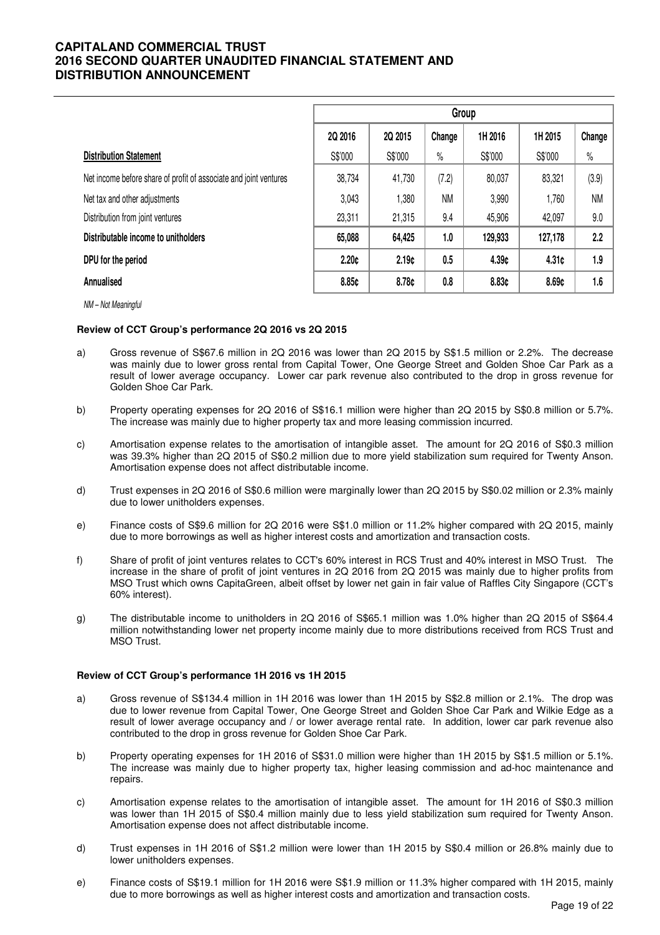|                                                                   | Group   |         |           |         |         |           |
|-------------------------------------------------------------------|---------|---------|-----------|---------|---------|-----------|
|                                                                   | 2Q 2016 | 2Q 2015 | Change    | 1H 2016 | 1H 2015 | Change    |
| <b>Distribution Statement</b>                                     | S\$'000 | S\$'000 | $\%$      | S\$'000 | S\$'000 | $\%$      |
| Net income before share of profit of associate and joint ventures | 38,734  | 41,730  | (7.2)     | 80,037  | 83,321  | (3.9)     |
| Net tax and other adjustments                                     | 3.043   | 1,380   | <b>NM</b> | 3,990   | 1,760   | <b>NM</b> |
| Distribution from joint ventures                                  | 23,311  | 21,315  | 9.4       | 45,906  | 42,097  | 9.0       |
| Distributable income to unitholders                               | 65,088  | 64,425  | 1.0       | 129,933 | 127,178 | 2.2       |
| DPU for the period                                                | 2.20c   | 2.19c   | 0.5       | 4.39c   | 4.31¢   | 1.9       |
| Annualised                                                        | 8.85c   | 8.78¢   | 0.8       | 8.83¢   | 8.69¢   | 1.6       |

NM – Not Meaningful

#### **Review of CCT Group's performance 2Q 2016 vs 2Q 2015**

- a) Gross revenue of S\$67.6 million in 2Q 2016 was lower than 2Q 2015 by S\$1.5 million or 2.2%. The decrease was mainly due to lower gross rental from Capital Tower, One George Street and Golden Shoe Car Park as a result of lower average occupancy. Lower car park revenue also contributed to the drop in gross revenue for Golden Shoe Car Park.
- b) Property operating expenses for 2Q 2016 of S\$16.1 million were higher than 2Q 2015 by S\$0.8 million or 5.7%. The increase was mainly due to higher property tax and more leasing commission incurred.
- c) Amortisation expense relates to the amortisation of intangible asset. The amount for 2Q 2016 of S\$0.3 million was 39.3% higher than 2Q 2015 of S\$0.2 million due to more yield stabilization sum required for Twenty Anson. Amortisation expense does not affect distributable income.
- d) Trust expenses in 2Q 2016 of S\$0.6 million were marginally lower than 2Q 2015 by S\$0.02 million or 2.3% mainly due to lower unitholders expenses.
- e) Finance costs of S\$9.6 million for 2Q 2016 were S\$1.0 million or 11.2% higher compared with 2Q 2015, mainly due to more borrowings as well as higher interest costs and amortization and transaction costs.
- f) Share of profit of joint ventures relates to CCT's 60% interest in RCS Trust and 40% interest in MSO Trust. The increase in the share of profit of joint ventures in 2Q 2016 from 2Q 2015 was mainly due to higher profits from MSO Trust which owns CapitaGreen, albeit offset by lower net gain in fair value of Raffles City Singapore (CCT's 60% interest).
- g) The distributable income to unitholders in 2Q 2016 of S\$65.1 million was 1.0% higher than 2Q 2015 of S\$64.4 million notwithstanding lower net property income mainly due to more distributions received from RCS Trust and MSO Trust.

#### **Review of CCT Group's performance 1H 2016 vs 1H 2015**

- a) Gross revenue of S\$134.4 million in 1H 2016 was lower than 1H 2015 by S\$2.8 million or 2.1%. The drop was due to lower revenue from Capital Tower, One George Street and Golden Shoe Car Park and Wilkie Edge as a result of lower average occupancy and / or lower average rental rate. In addition, lower car park revenue also contributed to the drop in gross revenue for Golden Shoe Car Park.
- b) Property operating expenses for 1H 2016 of S\$31.0 million were higher than 1H 2015 by S\$1.5 million or 5.1%. The increase was mainly due to higher property tax, higher leasing commission and ad-hoc maintenance and repairs.
- c) Amortisation expense relates to the amortisation of intangible asset. The amount for 1H 2016 of S\$0.3 million was lower than 1H 2015 of S\$0.4 million mainly due to less yield stabilization sum required for Twenty Anson. Amortisation expense does not affect distributable income.
- d) Trust expenses in 1H 2016 of S\$1.2 million were lower than 1H 2015 by S\$0.4 million or 26.8% mainly due to lower unitholders expenses.
- e) Finance costs of S\$19.1 million for 1H 2016 were S\$1.9 million or 11.3% higher compared with 1H 2015, mainly due to more borrowings as well as higher interest costs and amortization and transaction costs.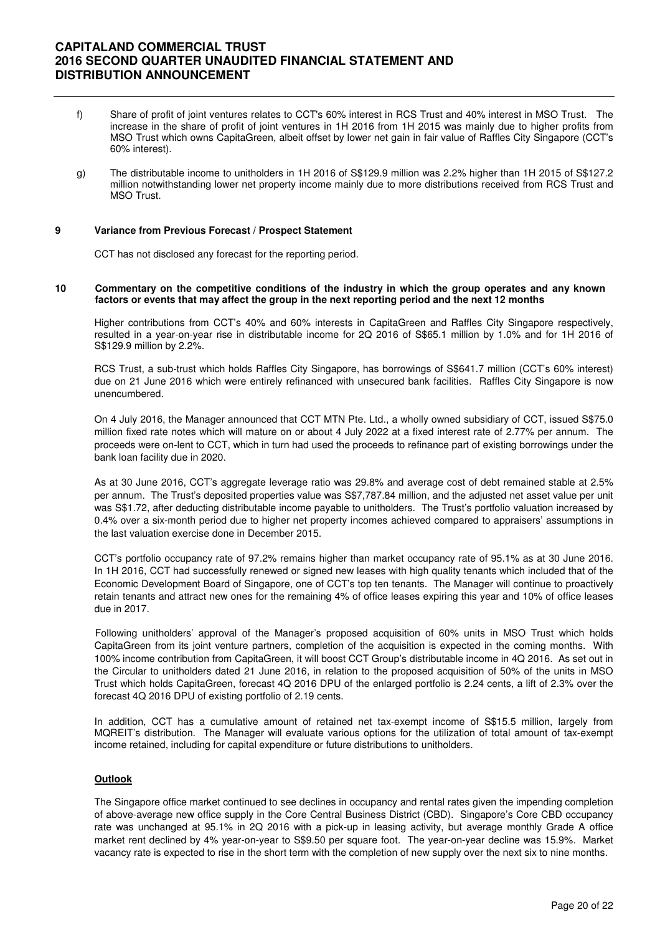- f) Share of profit of joint ventures relates to CCT's 60% interest in RCS Trust and 40% interest in MSO Trust. The increase in the share of profit of joint ventures in 1H 2016 from 1H 2015 was mainly due to higher profits from MSO Trust which owns CapitaGreen, albeit offset by lower net gain in fair value of Raffles City Singapore (CCT's 60% interest).
- g) The distributable income to unitholders in 1H 2016 of S\$129.9 million was 2.2% higher than 1H 2015 of S\$127.2 million notwithstanding lower net property income mainly due to more distributions received from RCS Trust and MSO Trust.

#### **9 Variance from Previous Forecast / Prospect Statement**

CCT has not disclosed any forecast for the reporting period.

#### **10 Commentary on the competitive conditions of the industry in which the group operates and any known factors or events that may affect the group in the next reporting period and the next 12 months**

 Higher contributions from CCT's 40% and 60% interests in CapitaGreen and Raffles City Singapore respectively, resulted in a year-on-year rise in distributable income for 2Q 2016 of S\$65.1 million by 1.0% and for 1H 2016 of S\$129.9 million by 2.2%.

 RCS Trust, a sub-trust which holds Raffles City Singapore, has borrowings of S\$641.7 million (CCT's 60% interest) due on 21 June 2016 which were entirely refinanced with unsecured bank facilities. Raffles City Singapore is now unencumbered.

On 4 July 2016, the Manager announced that CCT MTN Pte. Ltd., a wholly owned subsidiary of CCT, issued S\$75.0 million fixed rate notes which will mature on or about 4 July 2022 at a fixed interest rate of 2.77% per annum. The proceeds were on-lent to CCT, which in turn had used the proceeds to refinance part of existing borrowings under the bank loan facility due in 2020.

As at 30 June 2016, CCT's aggregate leverage ratio was 29.8% and average cost of debt remained stable at 2.5% per annum. The Trust's deposited properties value was S\$7,787.84 million, and the adjusted net asset value per unit was S\$1.72, after deducting distributable income payable to unitholders. The Trust's portfolio valuation increased by 0.4% over a six-month period due to higher net property incomes achieved compared to appraisers' assumptions in the last valuation exercise done in December 2015.

CCT's portfolio occupancy rate of 97.2% remains higher than market occupancy rate of 95.1% as at 30 June 2016. In 1H 2016, CCT had successfully renewed or signed new leases with high quality tenants which included that of the Economic Development Board of Singapore, one of CCT's top ten tenants. The Manager will continue to proactively retain tenants and attract new ones for the remaining 4% of office leases expiring this year and 10% of office leases due in 2017.

 Following unitholders' approval of the Manager's proposed acquisition of 60% units in MSO Trust which holds CapitaGreen from its joint venture partners, completion of the acquisition is expected in the coming months. With 100% income contribution from CapitaGreen, it will boost CCT Group's distributable income in 4Q 2016. As set out in the Circular to unitholders dated 21 June 2016, in relation to the proposed acquisition of 50% of the units in MSO Trust which holds CapitaGreen, forecast 4Q 2016 DPU of the enlarged portfolio is 2.24 cents, a lift of 2.3% over the forecast 4Q 2016 DPU of existing portfolio of 2.19 cents.

In addition, CCT has a cumulative amount of retained net tax-exempt income of S\$15.5 million, largely from MQREIT's distribution. The Manager will evaluate various options for the utilization of total amount of tax-exempt income retained, including for capital expenditure or future distributions to unitholders.

#### **Outlook**

 The Singapore office market continued to see declines in occupancy and rental rates given the impending completion of above-average new office supply in the Core Central Business District (CBD). Singapore's Core CBD occupancy rate was unchanged at 95.1% in 2Q 2016 with a pick-up in leasing activity, but average monthly Grade A office market rent declined by 4% year-on-year to S\$9.50 per square foot. The year-on-year decline was 15.9%. Market vacancy rate is expected to rise in the short term with the completion of new supply over the next six to nine months.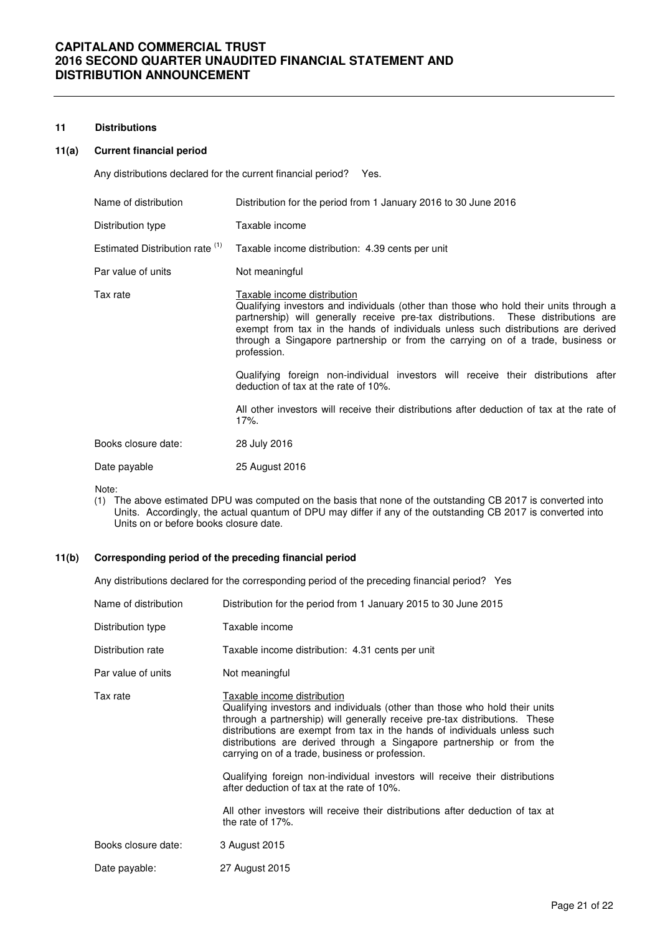#### **11 Distributions**

## **11(a) Current financial period**

Any distributions declared for the current financial period? Yes.

| Name of distribution            | Distribution for the period from 1 January 2016 to 30 June 2016                                                                                                                                                                                                                                                                                                                                                                                                                                                                                                                                                                       |
|---------------------------------|---------------------------------------------------------------------------------------------------------------------------------------------------------------------------------------------------------------------------------------------------------------------------------------------------------------------------------------------------------------------------------------------------------------------------------------------------------------------------------------------------------------------------------------------------------------------------------------------------------------------------------------|
| Distribution type               | Taxable income                                                                                                                                                                                                                                                                                                                                                                                                                                                                                                                                                                                                                        |
| Estimated Distribution rate (1) | Taxable income distribution: 4.39 cents per unit                                                                                                                                                                                                                                                                                                                                                                                                                                                                                                                                                                                      |
| Par value of units              | Not meaningful                                                                                                                                                                                                                                                                                                                                                                                                                                                                                                                                                                                                                        |
| Tax rate                        | Taxable income distribution<br>Qualifying investors and individuals (other than those who hold their units through a<br>partnership) will generally receive pre-tax distributions. These distributions are<br>exempt from tax in the hands of individuals unless such distributions are derived<br>through a Singapore partnership or from the carrying on of a trade, business or<br>profession.<br>Qualifying foreign non-individual investors will receive their distributions after<br>deduction of tax at the rate of 10%.<br>All other investors will receive their distributions after deduction of tax at the rate of<br>17%. |
| Books closure date:             | 28 July 2016                                                                                                                                                                                                                                                                                                                                                                                                                                                                                                                                                                                                                          |
| Date payable                    | 25 August 2016                                                                                                                                                                                                                                                                                                                                                                                                                                                                                                                                                                                                                        |
|                                 |                                                                                                                                                                                                                                                                                                                                                                                                                                                                                                                                                                                                                                       |

Note:

(1) The above estimated DPU was computed on the basis that none of the outstanding CB 2017 is converted into Units. Accordingly, the actual quantum of DPU may differ if any of the outstanding CB 2017 is converted into Units on or before books closure date.

## **11(b) Corresponding period of the preceding financial period**

Any distributions declared for the corresponding period of the preceding financial period? Yes

| Name of distribution | Distribution for the period from 1 January 2015 to 30 June 2015                                                                                                                                                                                                                                                                                                                                                                                                                                                                                                                                                                       |
|----------------------|---------------------------------------------------------------------------------------------------------------------------------------------------------------------------------------------------------------------------------------------------------------------------------------------------------------------------------------------------------------------------------------------------------------------------------------------------------------------------------------------------------------------------------------------------------------------------------------------------------------------------------------|
| Distribution type    | Taxable income                                                                                                                                                                                                                                                                                                                                                                                                                                                                                                                                                                                                                        |
| Distribution rate    | Taxable income distribution: 4.31 cents per unit                                                                                                                                                                                                                                                                                                                                                                                                                                                                                                                                                                                      |
| Par value of units   | Not meaningful                                                                                                                                                                                                                                                                                                                                                                                                                                                                                                                                                                                                                        |
| Tax rate             | Taxable income distribution<br>Qualifying investors and individuals (other than those who hold their units<br>through a partnership) will generally receive pre-tax distributions. These<br>distributions are exempt from tax in the hands of individuals unless such<br>distributions are derived through a Singapore partnership or from the<br>carrying on of a trade, business or profession.<br>Qualifying foreign non-individual investors will receive their distributions<br>after deduction of tax at the rate of 10%.<br>All other investors will receive their distributions after deduction of tax at<br>the rate of 17%. |
| Books closure date:  | 3 August 2015                                                                                                                                                                                                                                                                                                                                                                                                                                                                                                                                                                                                                         |
| Date payable:        | 27 August 2015                                                                                                                                                                                                                                                                                                                                                                                                                                                                                                                                                                                                                        |